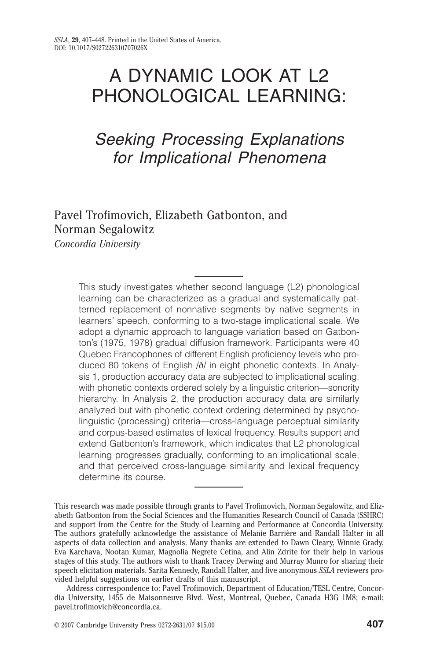# A DYNAMIC LOOK AT L2 PHONOLOGICAL LEARNING:

## *Seeking Processing Explanations for Implicational Phenomena*

## Pavel Trofimovich, Elizabeth Gatbonton, and Norman Segalowitz *Concordia University*

This study investigates whether second language (L2) phonological learning can be characterized as a gradual and systematically patterned replacement of nonnative segments by native segments in learners' speech, conforming to a two-stage implicational scale. We adopt a dynamic approach to language variation based on Gatbonton's (1975, 1978) gradual diffusion framework. Participants were 40 Quebec Francophones of different English proficiency levels who produced 80 tokens of English / $\delta$ / in eight phonetic contexts. In Analysis 1, production accuracy data are subjected to implicational scaling, with phonetic contexts ordered solely by a linguistic criterion—sonority hierarchy. In Analysis 2, the production accuracy data are similarly analyzed but with phonetic context ordering determined by psycholinguistic (processing) criteria—cross-language perceptual similarity and corpus-based estimates of lexical frequency. Results support and extend Gatbonton's framework, which indicates that L2 phonological learning progresses gradually, conforming to an implicational scale, and that perceived cross-language similarity and lexical frequency determine its course.

This research was made possible through grants to Pavel Trofimovich, Norman Segalowitz, and Elizabeth Gatbonton from the Social Sciences and the Humanities Research Council of Canada (SSHRC) and support from the Centre for the Study of Learning and Performance at Concordia University. The authors gratefully acknowledge the assistance of Melanie Barrière and Randall Halter in all aspects of data collection and analysis. Many thanks are extended to Dawn Cleary, Winnie Grady, Eva Karchava, Nootan Kumar, Magnolia Negrete Cetina, and Alin Zdrite for their help in various stages of this study. The authors wish to thank Tracey Derwing and Murray Munro for sharing their speech elicitation materials. Sarita Kennedy, Randall Halter, and five anonymous *SSLA* reviewers provided helpful suggestions on earlier drafts of this manuscript.

Address correspondence to: Pavel Trofimovich, Department of Education/TESL Centre, Concordia University, 1455 de Maisonneuve Blvd+ West, Montreal, Quebec, Canada H3G 1M8; e-mail: pavel.trofimovich@concordia.ca.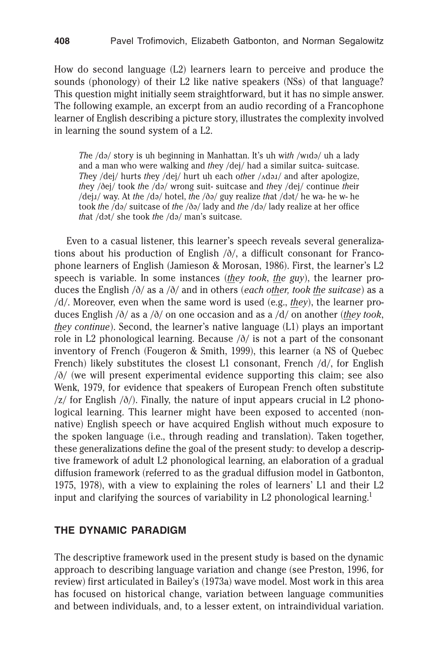How do second language  $(L2)$  learners learn to perceive and produce the sounds (phonology) of their L2 like native speakers (NSs) of that language? This question might initially seem straightforward, but it has no simple answer. The following example, an excerpt from an audio recording of a Francophone learner of English describing a picture story, illustrates the complexity involved in learning the sound system of a  $L2$ .

*The*  $\frac{d}{dx}$  story is uh beginning in Manhattan. It's uh with  $\frac{d}{dx}$  uh a lady and a man who were walking and *they* /dej/ had a similar suitca- suitcase. *They* /dej/ hurts *they* /dej/ hurt uh each other / $\Delta$ dai/ and after apologize, *they* / $\delta$ ej/ took *the* / $d\varphi$ / wrong suit- suitcase and *they* / $d\varphi$ / continue *their* 0dejò0 way+ At *th*e 0d@0 hotel, *th*e 0D@0 guy realize *th*at 0d@t0 he wa- he w- he took *the*  $\frac{d}{d}$  suitcase of *the*  $\frac{d}{d}$  lady and *the*  $\frac{d}{d}$  lady realize at her office *that* /dət/ she took *the* /də/ man's suitcase.

Even to a casual listener, this learner's speech reveals several generalizations about his production of English  $\delta/\delta$ , a difficult consonant for Francophone learners of English (Jamieson & Morosan, 1986). First, the learner's  $L2$ speech is variable. In some instances *(they took, the guy)*, the learner produces the English  $\delta$  as a  $\delta$  and in others *(each other, took the suitcase)* as a  $\frac{d}{dx}$ . Moreover, even when the same word is used (e.g., *they*), the learner produces English  $\delta$  as a  $\delta$  on one occasion and as a  $\delta$  d/ on another *(they took, they continue*). Second, the learner's native language  $(L1)$  plays an important role in L2 phonological learning. Because  $\delta/\delta/$  is not a part of the consonant inventory of French  $(Fougeron & Smith, 1999)$ , this learner  $(a \text{ NS of Ouebec})$ French) likely substitutes the closest L1 consonant, French  $\frac{d}{d}$ , for English  $\delta$  (we will present experimental evidence supporting this claim; see also Wenk, 1979, for evidence that speakers of European French often substitute  $\langle z \rangle$  for English  $\langle \delta \rangle$ . Finally, the nature of input appears crucial in L2 phonological learning. This learner might have been exposed to accented (nonnative) English speech or have acquired English without much exposure to the spoken language (i.e., through reading and translation). Taken together, these generalizations define the goal of the present study: to develop a descriptive framework of adult L2 phonological learning, an elaboration of a gradual diffusion framework (referred to as the gradual diffusion model in Gatbonton, 1975, 1978), with a view to explaining the roles of learners' L1 and their  $L2$ input and clarifying the sources of variability in L2 phonological learning.<sup>1</sup>

## **THE DYNAMIC PARADIGM**

The descriptive framework used in the present study is based on the dynamic approach to describing language variation and change (see Preston, 1996, for review) first articulated in Bailey's (1973a) wave model. Most work in this area has focused on historical change, variation between language communities and between individuals, and, to a lesser extent, on intraindividual variation+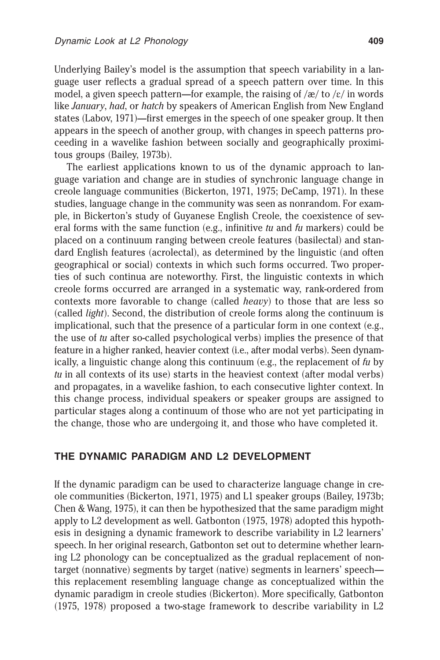Underlying Bailey's model is the assumption that speech variability in a language user reflects a gradual spread of a speech pattern over time+ In this model, a given speech pattern—for example, the raising of  $\alpha$  to  $\epsilon$  to  $\alpha$  in words like *January*, *had*, or *hatch* by speakers of American English from New England states  $(Labov, 1971)$ —first emerges in the speech of one speaker group. It then appears in the speech of another group, with changes in speech patterns proceeding in a wavelike fashion between socially and geographically proximi $tous groups$  (Bailey, 1973b).

The earliest applications known to us of the dynamic approach to language variation and change are in studies of synchronic language change in creole language communities (Bickerton, 1971, 1975; DeCamp, 1971). In these studies, language change in the community was seen as nonrandom. For example, in Bickerton's study of Guyanese English Creole, the coexistence of several forms with the same function  $(e.g.,$  infinitive *tu* and *fu* markers) could be placed on a continuum ranging between creole features (basilectal) and standard English features (acrolectal), as determined by the linguistic (and often geographical or social) contexts in which such forms occurred. Two properties of such continua are noteworthy. First, the linguistic contexts in which creole forms occurred are arranged in a systematic way, rank-ordered from contexts more favorable to change (called *heavy*) to those that are less so (called *light*). Second, the distribution of creole forms along the continuum is implicational, such that the presence of a particular form in one context  $(e.g.,$ the use of *tu* after so-called psychological verbs) implies the presence of that feature in a higher ranked, heavier context (i.e., after modal verbs). Seen dynamically, a linguistic change along this continuum (e.g., the replacement of *fu* by  $tu$  in all contexts of its use) starts in the heaviest context (after modal verbs) and propagates, in a wavelike fashion, to each consecutive lighter context. In this change process, individual speakers or speaker groups are assigned to particular stages along a continuum of those who are not yet participating in the change, those who are undergoing it, and those who have completed it.

## **THE DYNAMIC PARADIGM AND L2 DEVELOPMENT**

If the dynamic paradigm can be used to characterize language change in creole communities  $(Bickerton, 1971, 1975)$  and L1 speaker groups  $(Bailey, 1973b;$ Chen & Wang, 1975), it can then be hypothesized that the same paradigm might apply to L2 development as well. Gatbonton  $(1975, 1978)$  adopted this hypothesis in designing a dynamic framework to describe variability in L2 learners' speech. In her original research, Gatbonton set out to determine whether learning L2 phonology can be conceptualized as the gradual replacement of nontarget (nonnative) segments by target (native) segments in learners' speech this replacement resembling language change as conceptualized within the dynamic paradigm in creole studies (Bickerton). More specifically, Gatbonton  $(1975, 1978)$  proposed a two-stage framework to describe variability in L2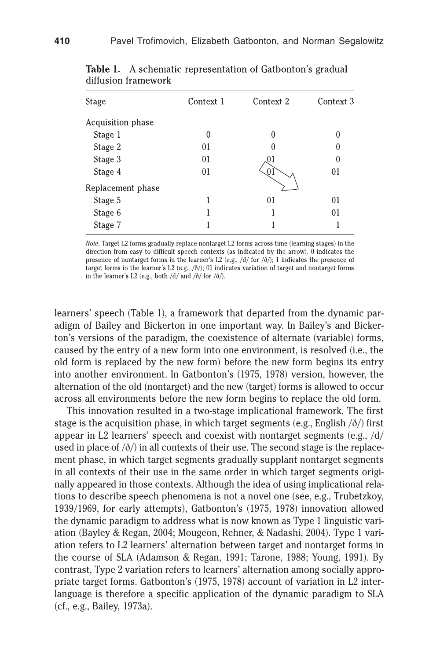| Stage             | Context 1      | Context 2 | Context 3        |
|-------------------|----------------|-----------|------------------|
| Acquisition phase |                |           |                  |
| Stage 1           | 0              | $\theta$  | $\left( \right)$ |
| Stage 2           | 01             | $\theta$  | 0                |
| Stage 3           | 0 <sub>1</sub> | 01        | 0                |
| Stage 4           | 01             |           | 01               |
| Replacement phase |                |           |                  |
| Stage 5           |                | 01        | 01               |
| Stage 6           |                |           | 01               |
| Stage 7           |                |           |                  |

Table 1. A schematic representation of Gatbonton's gradual diffusion framework

Note. Target L2 forms gradually replace nontarget L2 forms across time (learning stages) in the direction from easy to difficult speech contexts (as indicated by the arrow). 0 indicates the presence of nontarget forms in the learner's L2 (e.g., /d/ for / $\delta$ /); 1 indicates the presence of target forms in the learner's L2 (e.g.,  $/0$ ); 01 indicates variation of target and nontarget forms in the learner's L2 (e.g., both /d/ and /ð/ for /ð/).

learners' speech (Table 1), a framework that departed from the dynamic paradigm of Bailey and Bickerton in one important way. In Bailey's and Bickerton's versions of the paradigm, the coexistence of alternate (variable) forms, caused by the entry of a new form into one environment, is resolved (i.e., the old form is replaced by the new form) before the new form begins its entry into another environment. In Gatbonton's (1975, 1978) version, however, the alternation of the old (nontarget) and the new (target) forms is allowed to occur across all environments before the new form begins to replace the old form.

This innovation resulted in a two-stage implicational framework. The first stage is the acquisition phase, in which target segments  $(e.g.,$  English  $\partial$ ) first appear in L2 learners' speech and coexist with nontarget segments  $(e.g., /d/$ used in place of  $\langle \delta \rangle$  in all contexts of their use. The second stage is the replacement phase, in which target segments gradually supplant nontarget segments in all contexts of their use in the same order in which target segments originally appeared in those contexts. Although the idea of using implicational relations to describe speech phenomena is not a novel one (see, e.g., Trubetzkoy, 1939/1969, for early attempts), Gatbonton's (1975, 1978) innovation allowed the dynamic paradigm to address what is now known as Type 1 linguistic variation (Bayley & Regan, 2004; Mougeon, Rehner, & Nadashi, 2004). Type 1 variation refers to L2 learners' alternation between target and nontarget forms in the course of SLA (Adamson & Regan, 1991; Tarone, 1988; Young, 1991). By contrast, Type 2 variation refers to learners' alternation among socially appropriate target forms. Gatbonton's (1975, 1978) account of variation in L2 interlanguage is therefore a specific application of the dynamic paradigm to SLA  $(cf., e.g., Bailey, 1973a).$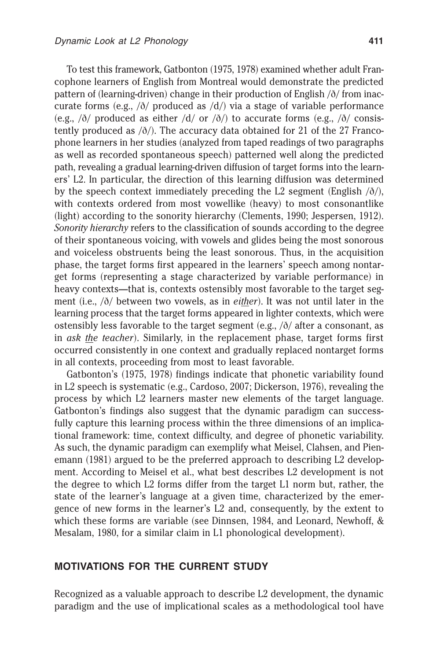To test this framework, Gatbonton (1975, 1978) examined whether adult Francophone learners of English from Montreal would demonstrate the predicted pattern of (learning-driven) change in their production of English  $\delta$  from inaccurate forms (e.g.,  $\delta$ ) produced as  $\delta$ ) via a stage of variable performance (e.g.,  $\delta$ ) produced as either  $\delta$  or  $\delta$ ) to accurate forms (e.g.,  $\delta$ ) consistently produced as  $\langle \delta \rangle$ . The accuracy data obtained for 21 of the 27 Francophone learners in her studies (analyzed from taped readings of two paragraphs as well as recorded spontaneous speech) patterned well along the predicted path, revealing a gradual learning-driven diffusion of target forms into the learners' L2. In particular, the direction of this learning diffusion was determined by the speech context immediately preceding the L2 segment (English  $/ \delta /$ ), with contexts ordered from most vowellike (heavy) to most consonantlike  $\ell$  (light) according to the sonority hierarchy (Clements, 1990; Jespersen, 1912). *Sonority hierarchy* refers to the classification of sounds according to the degree of their spontaneous voicing, with vowels and glides being the most sonorous and voiceless obstruents being the least sonorous. Thus, in the acquisition phase, the target forms first appeared in the learners' speech among nontarget forms (representing a stage characterized by variable performance) in heavy contexts—that is, contexts ostensibly most favorable to the target segment (i.e., / $\delta$ / between two vowels, as in *either*). It was not until later in the learning process that the target forms appeared in lighter contexts, which were ostensibly less favorable to the target segment  $(e.g., \delta)$  after a consonant, as in *ask the teacher*). Similarly, in the replacement phase, target forms first occurred consistently in one context and gradually replaced nontarget forms in all contexts, proceeding from most to least favorable.

Gatbonton's (1975, 1978) findings indicate that phonetic variability found in L2 speech is systematic  $(e.g., \text{Cardoso}, 2007; \text{Dickerson}, 1976)$ , revealing the process by which L2 learners master new elements of the target language+ Gatbonton's findings also suggest that the dynamic paradigm can successfully capture this learning process within the three dimensions of an implicational framework: time, context difficulty, and degree of phonetic variability+ As such, the dynamic paradigm can exemplify what Meisel, Clahsen, and Pienemann  $(1981)$  argued to be the preferred approach to describing L2 development. According to Meisel et al., what best describes L2 development is not the degree to which L2 forms differ from the target L1 norm but, rather, the state of the learner's language at a given time, characterized by the emergence of new forms in the learner's L2 and, consequently, by the extent to which these forms are variable (see Dinnsen, 1984, and Leonard, Newhoff,  $&$ Mesalam, 1980, for a similar claim in L1 phonological development).

## **MOTIVATIONS FOR THE CURRENT STUDY**

Recognized as a valuable approach to describe L2 development, the dynamic paradigm and the use of implicational scales as a methodological tool have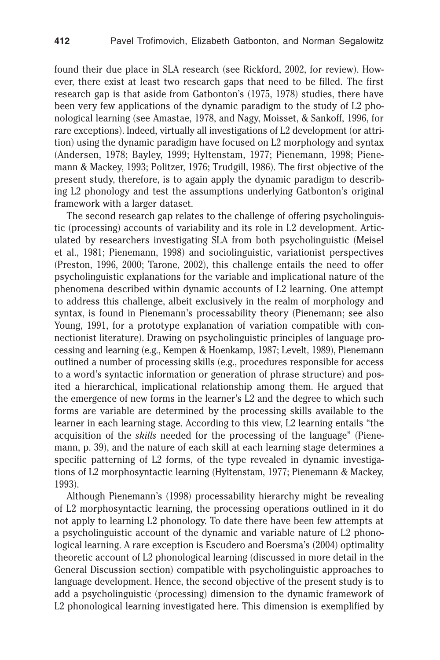found their due place in SLA research (see Rickford, 2002, for review). However, there exist at least two research gaps that need to be filled. The first research gap is that aside from Gatbonton's (1975, 1978) studies, there have been very few applications of the dynamic paradigm to the study of L2 phonological learning (see Amastae, 1978, and Nagy, Moisset,  $&$  Sankoff, 1996, for rare exceptions). Indeed, virtually all investigations of L2 development (or attrition) using the dynamic paradigm have focused on L2 morphology and syntax ~Andersen, 1978; Bayley, 1999; Hyltenstam, 1977; Pienemann, 1998; Pienemann & Mackey, 1993; Politzer, 1976; Trudgill, 1986). The first objective of the present study, therefore, is to again apply the dynamic paradigm to describing L2 phonology and test the assumptions underlying Gatbonton's original framework with a larger dataset.

The second research gap relates to the challenge of offering psycholinguistic (processing) accounts of variability and its role in L2 development. Articulated by researchers investigating SLA from both psycholinguistic (Meisel et al., 1981; Pienemann, 1998) and sociolinguistic, variationist perspectives  $(Preston, 1996, 2000; Taron, 2002)$ , this challenge entails the need to offer psycholinguistic explanations for the variable and implicational nature of the phenomena described within dynamic accounts of L2 learning. One attempt to address this challenge, albeit exclusively in the realm of morphology and syntax, is found in Pienemann's processability theory (Pienemann; see also Young, 1991, for a prototype explanation of variation compatible with connectionist literature). Drawing on psycholinguistic principles of language processing and learning (e.g., Kempen & Hoenkamp, 1987; Levelt, 1989), Pienemann outlined a number of processing skills (e.g., procedures responsible for access to a word's syntactic information or generation of phrase structure) and posited a hierarchical, implicational relationship among them. He argued that the emergence of new forms in the learner's L2 and the degree to which such forms are variable are determined by the processing skills available to the learner in each learning stage. According to this view, L2 learning entails "the acquisition of the *skills* needed for the processing of the language" (Pienemann, p. 39), and the nature of each skill at each learning stage determines a specific patterning of L2 forms, of the type revealed in dynamic investigations of L2 morphosyntactic learning (Hyltenstam, 1977; Pienemann & Mackey, 1993).

Although Pienemann's (1998) processability hierarchy might be revealing of L2 morphosyntactic learning, the processing operations outlined in it do not apply to learning L2 phonology. To date there have been few attempts at a psycholinguistic account of the dynamic and variable nature of L2 phonological learning. A rare exception is Escudero and Boersma's  $(2004)$  optimality theoretic account of  $L2$  phonological learning (discussed in more detail in the General Discussion section) compatible with psycholinguistic approaches to language development. Hence, the second objective of the present study is to add a psycholinguistic (processing) dimension to the dynamic framework of L2 phonological learning investigated here. This dimension is exemplified by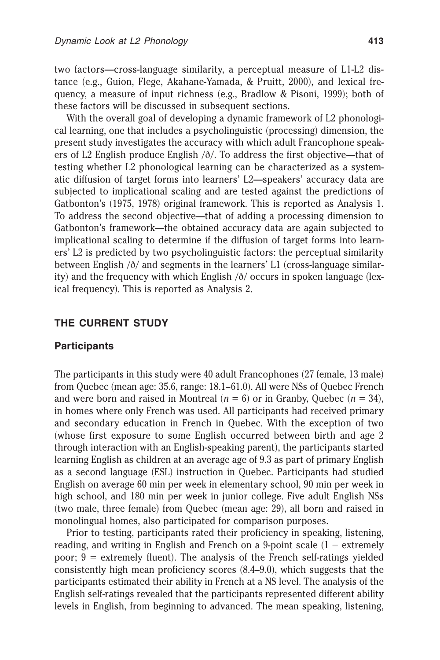two factors—cross-language similarity, a perceptual measure of L1-L2 distance (e.g., Guion, Flege, Akahane-Yamada, & Pruitt, 2000), and lexical frequency, a measure of input richness  $(e.g., Bradlow & Pisoni, 1999)$ ; both of these factors will be discussed in subsequent sections.

With the overall goal of developing a dynamic framework of L2 phonological learning, one that includes a psycholinguistic (processing) dimension, the present study investigates the accuracy with which adult Francophone speakers of L2 English produce English  $\delta$ . To address the first objective—that of testing whether L2 phonological learning can be characterized as a systematic diffusion of target forms into learners' L2—speakers' accuracy data are subjected to implicational scaling and are tested against the predictions of Gatbonton's  $(1975, 1978)$  original framework. This is reported as Analysis 1. To address the second objective—that of adding a processing dimension to Gatbonton's framework—the obtained accuracy data are again subjected to implicational scaling to determine if the diffusion of target forms into learners' L2 is predicted by two psycholinguistic factors: the perceptual similarity between English  $\delta$  and segments in the learners' L1 (cross-language similarity) and the frequency with which English  $\delta$  occurs in spoken language (lexical frequency). This is reported as Analysis 2.

#### **THE CURRENT STUDY**

#### **Participants**

The participants in this study were  $40$  adult Francophones  $(27 \text{ female}, 13 \text{ male})$ from Quebec (mean age:  $35.6$ , range:  $18.1–61.0$ ). All were NSs of Quebec French and were born and raised in Montreal  $(n = 6)$  or in Granby, Quebec  $(n = 34)$ , in homes where only French was used+ All participants had received primary and secondary education in French in Quebec. With the exception of two (whose first exposure to some English occurred between birth and age  $2$ through interaction with an English-speaking parent), the participants started learning English as children at an average age of 9.3 as part of primary English as a second language (ESL) instruction in Quebec. Participants had studied English on average 60 min per week in elementary school, 90 min per week in high school, and 180 min per week in junior college. Five adult English NSs (two male, three female) from Quebec (mean age: 29), all born and raised in monolingual homes, also participated for comparison purposes.

Prior to testing, participants rated their proficiency in speaking, listening, reading, and writing in English and French on a 9-point scale  $(1 =$  extremely poor;  $9 =$  extremely fluent). The analysis of the French self-ratings yielded consistently high mean proficiency scores  $(8.4–9.0)$ , which suggests that the participants estimated their ability in French at a NS level. The analysis of the English self-ratings revealed that the participants represented different ability levels in English, from beginning to advanced. The mean speaking, listening,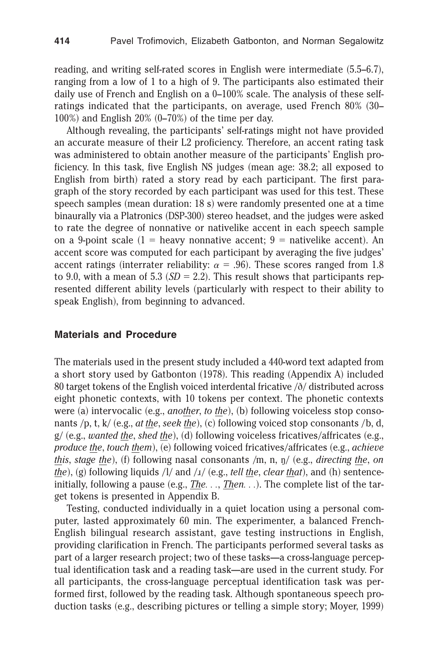reading, and writing self-rated scores in English were intermediate  $(5.5-6.7)$ , ranging from a low of 1 to a high of 9. The participants also estimated their daily use of French and English on a  $0-100\%$  scale. The analysis of these selfratings indicated that the participants, on average, used French  $80\%$  (30– 100%) and English  $20\%$  (0–70%) of the time per day.

Although revealing, the participants' self-ratings might not have provided an accurate measure of their L2 proficiency. Therefore, an accent rating task was administered to obtain another measure of the participants' English proficiency. In this task, five English NS judges (mean age:  $38.2$ ; all exposed to English from birth) rated a story read by each participant. The first paragraph of the story recorded by each participant was used for this test. These speech samples (mean duration:  $18 s$ ) were randomly presented one at a time binaurally via a Platronics (DSP-300) stereo headset, and the judges were asked to rate the degree of nonnative or nativelike accent in each speech sample on a 9-point scale  $(1 = \text{heavy nonnative accent}; 9 = \text{native like accent}).$  An accent score was computed for each participant by averaging the five judges' accent ratings (interrater reliability:  $\alpha = .96$ ). These scores ranged from 1.8 to 9.0, with a mean of 5.3  $(SD = 2.2)$ . This result shows that participants represented different ability levels (particularly with respect to their ability to speak English), from beginning to advanced.

#### **Materials and Procedure**

The materials used in the present study included a 440-word text adapted from a short story used by Gatbonton  $(1978)$ . This reading  $(Appendix A)$  included 80 target tokens of the English voiced interdental fricative  $\delta$  distributed across eight phonetic contexts, with  $10$  tokens per context. The phonetic contexts were (a) intervocalic (e.g., *another*, *to the*), (b) following voiceless stop consonants /p, t, k/ (e.g., *at the*, *seek the*), (c) following voiced stop consonants /b, d, g/ (e.g., *wanted the*, *shed the*), (d) following voiceless fricatives/affricates (e.g., *produce the, touch them*), (e) following voiced fricatives/affricates (e.g., *achieve this, stage the*), (f) following nasal consonants  $/m$ , n,  $\eta$  (e.g., *directing the*, *on the*), (g) following liquids  $\frac{1}{4}$  and  $\frac{1}{4}$  (e.g., *tell the*, *clear that*), and (h) sentenceinitially, following a pause (e.g., *The. . ., Then. . .*). The complete list of the target tokens is presented in Appendix B+

Testing, conducted individually in a quiet location using a personal computer, lasted approximately 60 min. The experimenter, a balanced French-English bilingual research assistant, gave testing instructions in English, providing clarification in French. The participants performed several tasks as part of a larger research project; two of these tasks—a cross-language perceptual identification task and a reading task—are used in the current study+ For all participants, the cross-language perceptual identification task was performed first, followed by the reading task. Although spontaneous speech production tasks (e.g., describing pictures or telling a simple story; Moyer, 1999)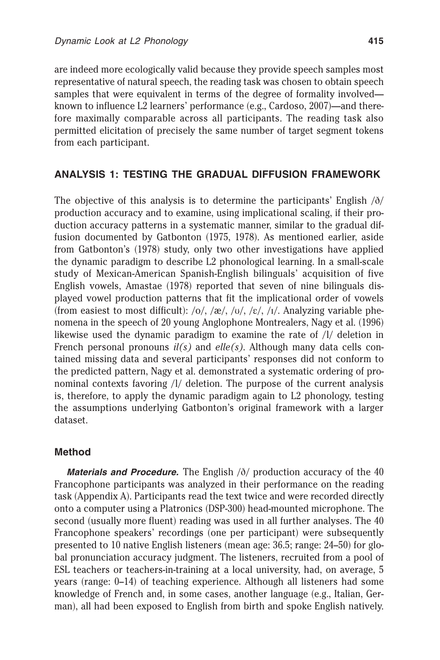are indeed more ecologically valid because they provide speech samples most representative of natural speech, the reading task was chosen to obtain speech samples that were equivalent in terms of the degree of formality involved known to influence L2 learners' performance  $(e.g., \text{Cardoso}, 2007)$ —and therefore maximally comparable across all participants. The reading task also permitted elicitation of precisely the same number of target segment tokens from each participant.

## **ANALYSIS 1: TESTING THE GRADUAL DIFFUSION FRAMEWORK**

The objective of this analysis is to determine the participants' English  $\partial$ production accuracy and to examine, using implicational scaling, if their production accuracy patterns in a systematic manner, similar to the gradual diffusion documented by Gatbonton  $(1975, 1978)$ . As mentioned earlier, aside from Gatbonton's (1978) study, only two other investigations have applied the dynamic paradigm to describe L2 phonological learning. In a small-scale study of Mexican-American Spanish-English bilinguals' acquisition of five English vowels, Amastae  $(1978)$  reported that seven of nine bilinguals displayed vowel production patterns that fit the implicational order of vowels (from easiest to most difficult):  $\frac{\partial}{\partial x}, \frac{\partial}{\partial y}, \frac{\partial}{\partial z}, \frac{\partial}{\partial t}$ . Analyzing variable phenomena in the speech of 20 young Anglophone Montrealers, Nagy et al. (1996) likewise used the dynamic paradigm to examine the rate of  $\frac{1}{\sqrt{2}}$  deletion in French personal pronouns  $il(s)$  and  $elle(s)$ . Although many data cells contained missing data and several participants' responses did not conform to the predicted pattern, Nagy et al. demonstrated a systematic ordering of pronominal contexts favoring  $\frac{1}{2}$  deletion. The purpose of the current analysis is, therefore, to apply the dynamic paradigm again to L2 phonology, testing the assumptions underlying Gatbonton's original framework with a larger dataset+

## **Method**

*Materials and Procedure.* The English  $\delta$  production accuracy of the 40 Francophone participants was analyzed in their performance on the reading task (Appendix A). Participants read the text twice and were recorded directly onto a computer using a Platronics (DSP-300) head-mounted microphone. The second (usually more fluent) reading was used in all further analyses. The 40 Francophone speakers' recordings (one per participant) were subsequently presented to 10 native English listeners (mean age:  $36.5$ ; range:  $24-50$ ) for global pronunciation accuracy judgment. The listeners, recruited from a pool of ESL teachers or teachers-in-training at a local university, had, on average, 5 years (range:  $0-14$ ) of teaching experience. Although all listeners had some knowledge of French and, in some cases, another language (e.g., Italian, German), all had been exposed to English from birth and spoke English natively.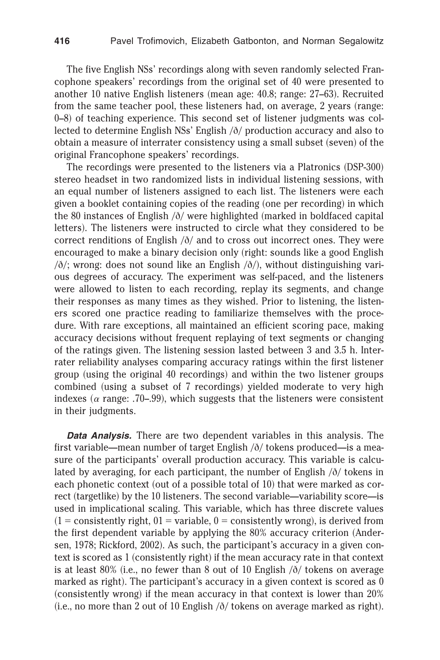The five English NSs' recordings along with seven randomly selected Francophone speakers' recordings from the original set of 40 were presented to another 10 native English listeners (mean age:  $40.8$ ; range:  $27-63$ ). Recruited from the same teacher pool, these listeners had, on average, 2 years (range:  $0-8$  of teaching experience. This second set of listener judgments was collected to determine English NSs' English  $\delta/$  production accuracy and also to obtain a measure of interrater consistency using a small subset (seven) of the original Francophone speakers' recordings+

The recordings were presented to the listeners via a Platronics (DSP-300) stereo headset in two randomized lists in individual listening sessions, with an equal number of listeners assigned to each list. The listeners were each given a booklet containing copies of the reading (one per recording) in which the 80 instances of English  $\delta$  were highlighted (marked in boldfaced capital letters). The listeners were instructed to circle what they considered to be correct renditions of English  $\partial$  and to cross out incorrect ones. They were encouraged to make a binary decision only (right: sounds like a good English  $\delta/$ ; wrong: does not sound like an English  $\delta/$ ), without distinguishing various degrees of accuracy. The experiment was self-paced, and the listeners were allowed to listen to each recording, replay its segments, and change their responses as many times as they wished. Prior to listening, the listeners scored one practice reading to familiarize themselves with the procedure. With rare exceptions, all maintained an efficient scoring pace, making accuracy decisions without frequent replaying of text segments or changing of the ratings given. The listening session lasted between 3 and 3.5 h. Interrater reliability analyses comparing accuracy ratings within the first listener group (using the original 40 recordings) and within the two listener groups combined (using a subset of 7 recordings) yielded moderate to very high indexes ( $\alpha$  range:  $(70-99)$ , which suggests that the listeners were consistent in their judgments.

*Data Analysis.* There are two dependent variables in this analysis. The first variable—mean number of target English  $\delta$  tokens produced—is a measure of the participants' overall production accuracy. This variable is calculated by averaging, for each participant, the number of English  $\delta$  tokens in each phonetic context (out of a possible total of 10) that were marked as correct (targetlike) by the 10 listeners. The second variable—variability score—is used in implicational scaling+ This variable, which has three discrete values  $(1 = \text{consistently right}, 01 = \text{variable}, 0 = \text{consistently wrong})$ , is derived from the first dependent variable by applying the 80% accuracy criterion (Andersen, 1978; Rickford, 2002). As such, the participant's accuracy in a given context is scored as 1 (consistently right) if the mean accuracy rate in that context is at least 80% (i.e., no fewer than 8 out of 10 English  $\partial$  tokens on average marked as right). The participant's accuracy in a given context is scored as  $0$ (consistently wrong) if the mean accuracy in that context is lower than 20%  $(i.e., no more than 2 out of 10 English /  $\delta$ / tokens on average marked as right).$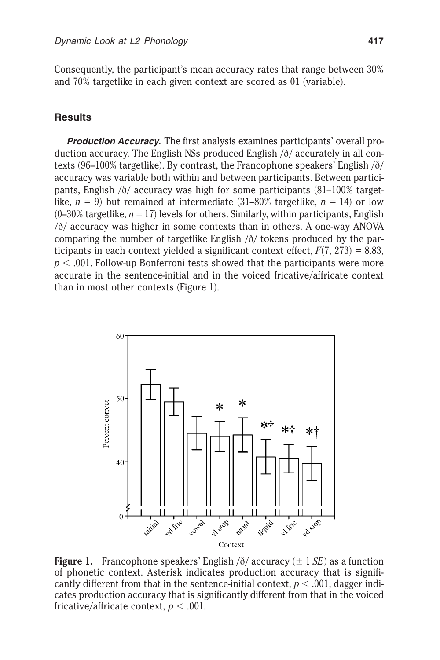Consequently, the participant's mean accuracy rates that range between 30% and  $70\%$  targetlike in each given context are scored as  $01$  (variable).

#### **Results**

*Production Accuracy.* The first analysis examines participants' overall production accuracy. The English NSs produced English  $\delta/$  accurately in all contexts  $(96-100\%$  targetlike). By contrast, the Francophone speakers' English  $\partial$ accuracy was variable both within and between participants. Between participants, English  $\delta$  accuracy was high for some participants  $(81-100\%$  targetlike,  $n = 9$ ) but remained at intermediate  $(31-80\%$  targetlike,  $n = 14$ ) or low  $(0-30\%$  targetlike,  $n = 17$  levels for others. Similarly, within participants, English  $\delta$  accuracy was higher in some contexts than in others. A one-way ANOVA comparing the number of targetlike English  $\partial$  tokens produced by the participants in each context yielded a significant context effect,  $F(7, 273) = 8.83$ ,  $p < .001$ . Follow-up Bonferroni tests showed that the participants were more accurate in the sentence-initial and in the voiced fricative/affricate context than in most other contexts (Figure 1).



**Figure 1.** Francophone speakers' English  $\partial \phi$  accuracy ( $\pm$  1 *SE*) as a function of phonetic context. Asterisk indicates production accuracy that is significantly different from that in the sentence-initial context,  $p < .001$ ; dagger indicates production accuracy that is significantly different from that in the voiced fricative/affricate context,  $p < .001$ .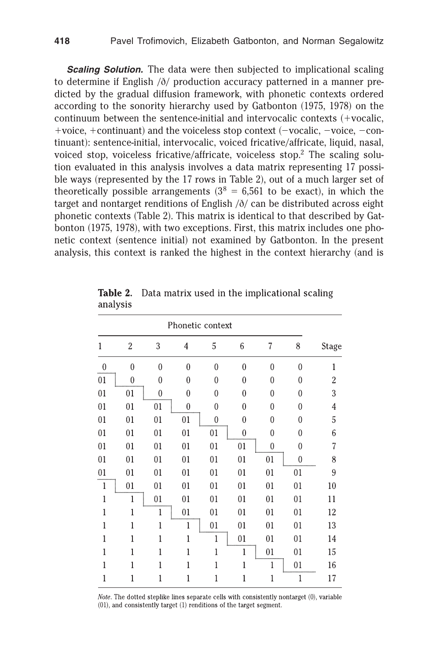*Scaling Solution.* The data were then subjected to implicational scaling to determine if English  $\delta$  production accuracy patterned in a manner predicted by the gradual diffusion framework, with phonetic contexts ordered according to the sonority hierarchy used by Gatbonton  $(1975, 1978)$  on the  $\text{continuum}$  between the sentence-initial and intervocalic contexts  $(+$ vocalic,  $+$ voice,  $+$ continuant) and the voiceless stop context  $(-$ vocalic,  $-$ voice,  $-$ continuant): sentence-initial, intervocalic, voiced fricative/affricate, liquid, nasal, voiced stop, voiceless fricative/affricate, voiceless  $stop<sup>2</sup>$  The scaling solution evaluated in this analysis involves a data matrix representing 17 possible ways (represented by the 17 rows in Table 2), out of a much larger set of theoretically possible arrangements  $(3^8 = 6,561$  to be exact), in which the target and nontarget renditions of English  $\delta$  can be distributed across eight phonetic contexts (Table 2). This matrix is identical to that described by Gatbonton  $(1975, 1978)$ , with two exceptions. First, this matrix includes one phonetic context (sentence initial) not examined by Gatbonton. In the present analysis, this context is ranked the highest in the context hierarchy (and is

|          | Table 2. Data matrix used in the implicational scaling |
|----------|--------------------------------------------------------|
| analysis |                                                        |

| Phonetic context |                  |                |                |                  |                  |                |          |                |  |
|------------------|------------------|----------------|----------------|------------------|------------------|----------------|----------|----------------|--|
| $\mathbf{1}$     | $\sqrt{2}$       | $\overline{3}$ | 4              | 5                | $\boldsymbol{6}$ | 7              | 8        | Stage          |  |
| $\boldsymbol{0}$ | $\overline{0}$   | $\mathbf{0}$   | $\overline{0}$ | $\overline{0}$   | $\overline{0}$   | $\overline{0}$ | $\theta$ | 1              |  |
| $_{01}$          | $\boldsymbol{0}$ | $\theta$       | $\theta$       | $\theta$         | $\theta$         | 0              | $\Omega$ | $\overline{2}$ |  |
| $_{01}$          | 01               | $\theta$       | $\theta$       | $\boldsymbol{0}$ | $\theta$         | $\Omega$       | $\theta$ | 3              |  |
| 01               | $_{01}$          | 01             | $\theta$       | $\theta$         | $\theta$         | 0              | $\theta$ | $\overline{4}$ |  |
| 01               | 01               | 01             | 01             | $\theta$         | $\theta$         | 0              | $\theta$ | $\overline{5}$ |  |
| 01               | 01               | 01             | 01             | 0 <sub>1</sub>   | $\mathbf{0}$     | 0              | 0        | 6              |  |
| 01               | $_{01}$          | 01             | 01             | 01               | 01               | 0              | $\theta$ | 7              |  |
| 01               | 01               | 01             | 01             | 01               | 01               | 01             | $\theta$ | 8              |  |
| 01               | 01               | 01             | 01             | 01               | 01               | 01             | 01       | 9              |  |
| 1                | 01               | 01             | 01             | 01               | 01               | 01             | $_{01}$  | 10             |  |
| 1                | 1                | 01             | 01             | 01               | 01               | 01             | 01       | 11             |  |
| 1                | 1                | 1              | 01             | 01               | 01               | 01             | 01       | 12             |  |
| 1                | 1                | 1              | 1              | 01               | 0 <sub>1</sub>   | 01             | 01       | 13             |  |
| 1                | 1                | 1              | 1              | 1                | 01               | 01             | 01       | 14             |  |
| 1                | 1                | 1              | 1              | 1                | 1                | 01             | 01       | 15             |  |
| 1                | 1                | 1              | 1              | 1                | 1                | 1              | 01       | 16             |  |
| 1                | 1                |                | 1              | 1                | 1                | 1              | 1        | 17             |  |

Note. The dotted steplike lines separate cells with consistently nontarget (0), variable  $(01)$ , and consistently target  $(1)$  renditions of the target segment.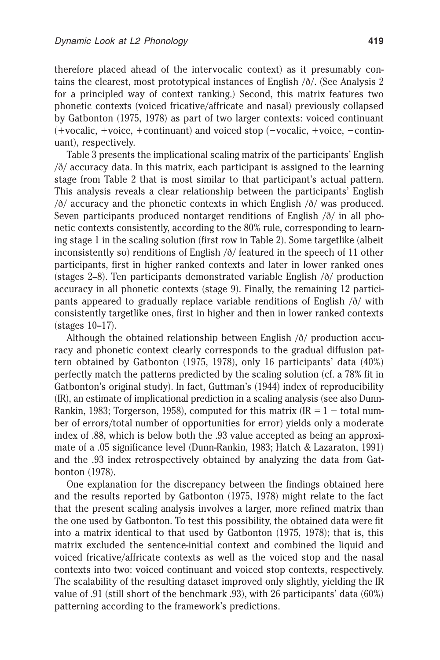therefore placed ahead of the intervocalic context) as it presumably contains the clearest, most prototypical instances of English  $\delta/$ . (See Analysis 2 for a principled way of context ranking.) Second, this matrix features two phonetic contexts (voiced fricative/affricate and nasal) previously collapsed by Gatbonton  $(1975, 1978)$  as part of two larger contexts: voiced continuant (+vocalic, +voice, +continuant) and voiced stop (-vocalic, +voice, -continuant), respectively.

Table 3 presents the implicational scaling matrix of the participants' English  $\delta$  accuracy data. In this matrix, each participant is assigned to the learning stage from Table 2 that is most similar to that participant's actual pattern. This analysis reveals a clear relationship between the participants' English  $\delta/\delta$  accuracy and the phonetic contexts in which English  $\delta/\delta$  was produced. Seven participants produced nontarget renditions of English  $\delta/$  in all phonetic contexts consistently, according to the 80% rule, corresponding to learning stage 1 in the scaling solution (first row in Table 2). Some target like (albeit inconsistently so) renditions of English  $\delta$  / featured in the speech of 11 other participants, first in higher ranked contexts and later in lower ranked ones (stages 2–8). Ten participants demonstrated variable English  $\delta$  production accuracy in all phonetic contexts (stage 9). Finally, the remaining 12 participants appeared to gradually replace variable renditions of English  $\delta$  with consistently targetlike ones, first in higher and then in lower ranked contexts  $(\text{stages } 10-17).$ 

Although the obtained relationship between English  $\partial$  production accuracy and phonetic context clearly corresponds to the gradual diffusion pattern obtained by Gatbonton  $(1975, 1978)$ , only 16 participants' data  $(40\%)$ perfectly match the patterns predicted by the scaling solution (cf. a  $78\%$  fit in Gatbonton's original study). In fact, Guttman's  $(1944)$  index of reproducibility  $(IR)$ , an estimate of implicational prediction in a scaling analysis (see also Dunn-Rankin, 1983; Torgerson, 1958), computed for this matrix  $IR = 1 - total$  number of errors/total number of opportunities for error) yields only a moderate index of  $.88$ , which is below both the  $.93$  value accepted as being an approximate of a .05 significance level (Dunn-Rankin, 1983; Hatch & Lazaraton, 1991) and the +93 index retrospectively obtained by analyzing the data from Gatbonton  $(1978)$ .

One explanation for the discrepancy between the findings obtained here and the results reported by Gatbonton  $(1975, 1978)$  might relate to the fact that the present scaling analysis involves a larger, more refined matrix than the one used by Gatbonton. To test this possibility, the obtained data were fit into a matrix identical to that used by Gatbonton  $(1975, 1978)$ ; that is, this matrix excluded the sentence-initial context and combined the liquid and voiced fricative/affricate contexts as well as the voiced stop and the nasal contexts into two: voiced continuant and voiced stop contexts, respectively+ The scalability of the resulting dataset improved only slightly, yielding the IR value of  $.91$  (still short of the benchmark  $.93$ ), with 26 participants' data  $(60\%)$ patterning according to the framework's predictions.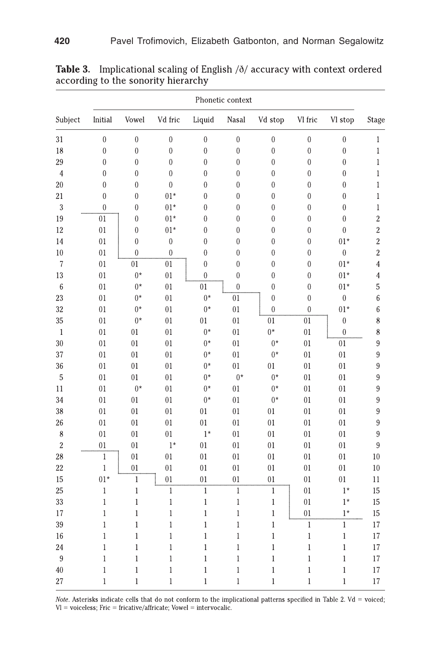|                | Phonetic context |                  |                  |                  |                  |                  |                  |                  |                  |  |  |
|----------------|------------------|------------------|------------------|------------------|------------------|------------------|------------------|------------------|------------------|--|--|
| Subject        | Initial          | Vowel            | Vd fric          | Liquid           | Nasal            | Vd stop          | Vl fric          | Vl stop          | Stage            |  |  |
| 31             | $\overline{0}$   | $\boldsymbol{0}$ | $\boldsymbol{0}$ | $\boldsymbol{0}$ | $\boldsymbol{0}$ | $\boldsymbol{0}$ | $\boldsymbol{0}$ | $\boldsymbol{0}$ | $\mathbf{1}$     |  |  |
| 18             | $\boldsymbol{0}$ | $\boldsymbol{0}$ | $\overline{0}$   | $\boldsymbol{0}$ | $\boldsymbol{0}$ | $\boldsymbol{0}$ | $\boldsymbol{0}$ | $\boldsymbol{0}$ | $\mathbf{1}$     |  |  |
| 29             | $\mathbf{0}$     | $\theta$         | $\boldsymbol{0}$ | $\overline{0}$   | $\overline{0}$   | $\mathbf{0}$     | $\overline{0}$   | $\mathbf{0}$     | $\mathbf{1}$     |  |  |
| $\overline{4}$ | $\boldsymbol{0}$ | $\boldsymbol{0}$ | $\boldsymbol{0}$ | $\boldsymbol{0}$ | $\overline{0}$   | $\boldsymbol{0}$ | $\overline{0}$   | $\boldsymbol{0}$ | $\mathbf{1}$     |  |  |
| 20             | $\mathbf{0}$     | $\overline{0}$   | $\mathbf{0}$     | $\boldsymbol{0}$ | $\overline{0}$   | $\boldsymbol{0}$ | $\boldsymbol{0}$ | $\mathbf{0}$     | $\mathbf{1}$     |  |  |
| 21             | $\theta$         | $\overline{0}$   | $01*$            | $\overline{0}$   | $\overline{0}$   | $\mathbf{0}$     | $\overline{0}$   | $\overline{0}$   | $\mathbf{1}$     |  |  |
| 3              | $\boldsymbol{0}$ | $\boldsymbol{0}$ | $01*$            | $\overline{0}$   | $\boldsymbol{0}$ | $\boldsymbol{0}$ | $\boldsymbol{0}$ | $\boldsymbol{0}$ | $\mathbf{1}$     |  |  |
| 19             | <br>01           | $\boldsymbol{0}$ | $01*$            | $\boldsymbol{0}$ | $\boldsymbol{0}$ | $\boldsymbol{0}$ | $\boldsymbol{0}$ | $\boldsymbol{0}$ | $\overline{2}$   |  |  |
| 12             | 01               | $\overline{0}$   | $01*$            | $\overline{0}$   | $\overline{0}$   | $\mathbf{0}$     | $\overline{0}$   | $\mathbf{0}$     | $\overline{2}$   |  |  |
| 14             | 01               | $\boldsymbol{0}$ | $\boldsymbol{0}$ | $\boldsymbol{0}$ | $\overline{0}$   | $\boldsymbol{0}$ | $\overline{0}$   | $01*$            | $\overline{2}$   |  |  |
| 10             | 01               | $\overline{0}$   | $\boldsymbol{0}$ | $\boldsymbol{0}$ | $\boldsymbol{0}$ | $\boldsymbol{0}$ | $\boldsymbol{0}$ | $\boldsymbol{0}$ | $\overline{2}$   |  |  |
| $\overline{7}$ | 01               | 01               | 01               | $\overline{0}$   | $\overline{0}$   | $\mathbf{0}$     | $\overline{0}$   | $01*$            | $\overline{4}$   |  |  |
| 13             | 01               | $0*$             | 01               | $\boldsymbol{0}$ | $\overline{0}$   | $\theta$         | $\theta$         | $01*$            | $\overline{4}$   |  |  |
| $\,6\,$        | 01               | $0^*$            | 01               | 01               | $\boldsymbol{0}$ | $\boldsymbol{0}$ | $\boldsymbol{0}$ | $01*$            | $\overline{5}$   |  |  |
| 23             | 01               | $0*$             | 01               | $0^*$            | $\overline{01}$  | $\overline{0}$   | $\overline{0}$   | $\boldsymbol{0}$ | $\boldsymbol{6}$ |  |  |
| 32             | 01               | $0^*$            | 01               | $0^*$            | 01               | $\boldsymbol{0}$ | $\boldsymbol{0}$ | $01*$            | $\boldsymbol{6}$ |  |  |
| 35             | 01               | $0*$             | 01               | 01               | 01               | $\overline{01}$  | $\overline{01}$  | $\boldsymbol{0}$ | $\,$ 8 $\,$      |  |  |
| $\mathbf{1}$   | 01               | 01               | 01               | $0*$             | 01               | $0^*$            | 01               | $\boldsymbol{0}$ | 8                |  |  |
| 30             | 01               | 01               | 01               | $0*$             | 01               | $0*$             | 01               | 01               | 9                |  |  |
| 37             | 01               | 01               | 01               | $0*$             | 01               | $0^*$            | 01               | 01               | $\overline{9}$   |  |  |
| 36             | 01               | 01               | 01               | $0*$             | 01               | 01               | 01               | 01               | $\boldsymbol{9}$ |  |  |
| $\mathbf 5$    | 01               | 01               | 01               | $0*$             | $0*$             | $0*$             | 01               | 01               | $\boldsymbol{9}$ |  |  |
| 11             | 01               | $0^*$            | 01               | $0*$             | 01               | $0^*$            | 01               | 01               | 9                |  |  |
| 34             | 01               | 01               | 01               | $0*$             | 01               | $0*$             | 01               | 01               | $\overline{9}$   |  |  |
| 38             | 01               | 01               | 01               | 01               | 01               | 01               | 01               | 01               | $\overline{9}$   |  |  |
| 26             | 01               | 01               | 01               | 01               | 01               | 01               | 01               | 01               | $\overline{9}$   |  |  |
| $\,$ 8 $\,$    | 01               | 01               | 01               | $1*$             | 01               | 01               | 01               | 01               | 9                |  |  |
| $\overline{2}$ | 01               | 01               | $1*$             | 01               | 01               | 01               | 01               | 01               | 9                |  |  |
| 28             | $\,1$            | 01               | 01               | 01               | 01               | 01               | 01               | 01               | 10               |  |  |
| $22\,$         | $\mathbf{1}$     | 01               | 01               | 01               | 01               | 01               | 01               | 01               | 10               |  |  |
| 15             | $01*$            | $\mathbf 1$      | 01               | 01               | 01               | 01               | 01               | 01               | 11               |  |  |
| 25             | $\mathbf{1}$     | $\mathbf{1}$     | $\mathbf{1}$     | $\mathbf{1}$     | $\mathbf{1}$     | $\mathbf{1}$     | 01               | $1*$             | 15               |  |  |
| 33             | $\mathbf{1}$     | $\mathbf{1}$     | $\,1\,$          | $\mathbf{1}$     | $\mathbf{1}$     | $\mathbf{1}$     | 01               | $1*$             | 15               |  |  |
| 17             | $\mathbf{1}$     | $\mathbf{1}$     | $\mathbf{1}$     | $\mathbf{1}$     | $\mathbf{1}$     | $\mathbf{1}$     | 01               | $1*$             | 15               |  |  |
| 39             | $\mathbf{1}$     | $\mathbf{1}$     | $\mathbf{1}$     | $\mathbf{1}$     | $\mathbf{1}$     | $\mathbf{1}$     | $\mathbf{1}$     | $\mathbf{1}$     | 17               |  |  |
| 16             | $\mathbf{1}$     | $\mathbf{1}$     | $\mathbf{1}$     | $\mathbf{1}$     | $\mathbf{1}$     | $\mathbf{1}$     | $\mathbf{1}$     | $\mathbf{1}$     | 17               |  |  |
| 24             | $\mathbf{1}$     | $\mathbf{1}$     | $\mathbf{1}$     | $\mathbf{1}$     | $\mathbf{1}$     | $\mathbf{1}$     | $\,1$            | $\mathbf{1}$     | 17               |  |  |
| 9              | $\mathbf{1}$     | $\mathbf{1}$     | 1                | $\mathbf{1}$     | 1                | 1                | $\mathbf{1}$     | $\mathbf{1}$     | 17               |  |  |
| 40             | $\mathbf 1$      | $\mathbf{1}$     | 1                | $\mathbf{1}$     | $\mathbf{1}$     | 1                | $\mathbf{1}$     | $\mathbf{1}$     | 17               |  |  |
| 27             | $\mathbf{1}$     | $\mathbf{1}$     | $\mathbf{1}$     | $\mathbf{1}$     | $\mathbf{1}$     | $\mathbf{1}$     | $\mathbf{1}$     | $\mathbf{1}$     | 17               |  |  |

Table 3. Implicational scaling of English  $/\delta/$  accuracy with context ordered according to the sonority hierarchy

Note. Asterisks indicate cells that do not conform to the implicational patterns specified in Table 2. Vd = voiced;  $VI = \text{voiceless}; \text{Fric} = \text{fricative/affricate}; \text{Vowel} = \text{intervocalic}.$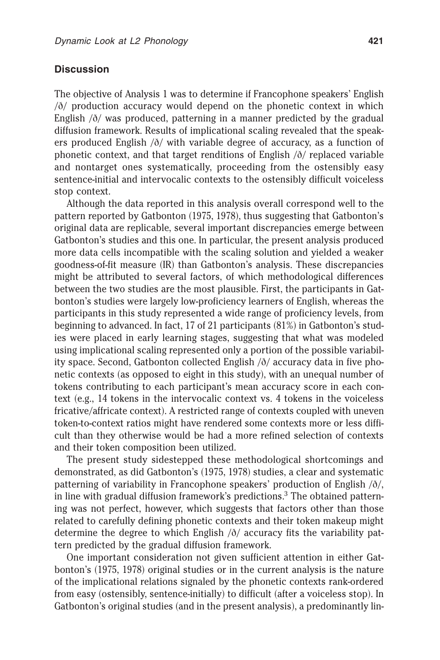## **Discussion**

The objective of Analysis 1 was to determine if Francophone speakers' English  $\delta$  production accuracy would depend on the phonetic context in which English  $\delta$  was produced, patterning in a manner predicted by the gradual diffusion framework. Results of implicational scaling revealed that the speakers produced English  $\delta$  with variable degree of accuracy, as a function of phonetic context, and that target renditions of English  $\delta$  replaced variable and nontarget ones systematically, proceeding from the ostensibly easy sentence-initial and intervocalic contexts to the ostensibly difficult voiceless stop context.

Although the data reported in this analysis overall correspond well to the pattern reported by Gatbonton (1975, 1978), thus suggesting that Gatbonton's original data are replicable, several important discrepancies emerge between Gatbonton's studies and this one. In particular, the present analysis produced more data cells incompatible with the scaling solution and yielded a weaker goodness-of-fit measure (IR) than Gatbonton's analysis. These discrepancies might be attributed to several factors, of which methodological differences between the two studies are the most plausible. First, the participants in Gatbonton's studies were largely low-proficiency learners of English, whereas the participants in this study represented a wide range of proficiency levels, from beginning to advanced. In fact, 17 of 21 participants  $(81%)$  in Gatbonton's studies were placed in early learning stages, suggesting that what was modeled using implicational scaling represented only a portion of the possible variability space. Second, Gatbonton collected English  $\delta/$  accuracy data in five phonetic contexts (as opposed to eight in this study), with an unequal number of tokens contributing to each participant's mean accuracy score in each context  $(e.g., 14$  tokens in the intervocalic context vs.  $4$  tokens in the voiceless fricative/affricate context). A restricted range of contexts coupled with uneven token-to-context ratios might have rendered some contexts more or less difficult than they otherwise would be had a more refined selection of contexts and their token composition been utilized.

The present study sidestepped these methodological shortcomings and demonstrated, as did Gatbonton's (1975, 1978) studies, a clear and systematic patterning of variability in Francophone speakers' production of English  $\partial \partial$ , in line with gradual diffusion framework's predictions.<sup>3</sup> The obtained patterning was not perfect, however, which suggests that factors other than those related to carefully defining phonetic contexts and their token makeup might determine the degree to which English  $\partial/\partial \phi$  accuracy fits the variability pattern predicted by the gradual diffusion framework.

One important consideration not given sufficient attention in either Gatbonton's  $(1975, 1978)$  original studies or in the current analysis is the nature of the implicational relations signaled by the phonetic contexts rank-ordered from easy (ostensibly, sentence-initially) to difficult (after a voiceless stop). In Gatbonton's original studies (and in the present analysis), a predominantly lin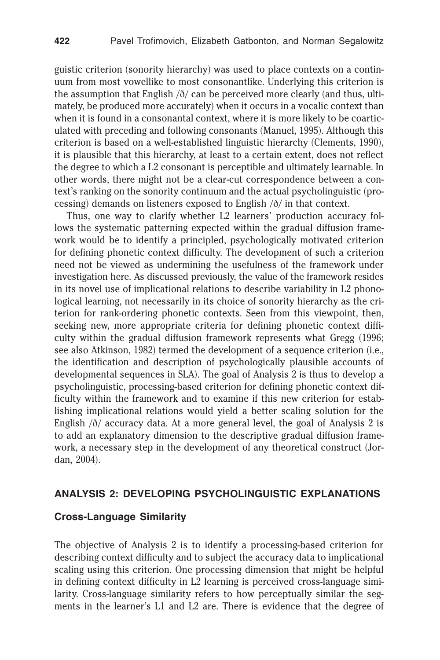guistic criterion (sonority hierarchy) was used to place contexts on a continuum from most vowellike to most consonantlike. Underlying this criterion is the assumption that English  $\delta$  can be perceived more clearly (and thus, ultimately, be produced more accurately) when it occurs in a vocalic context than when it is found in a consonantal context, where it is more likely to be coarticulated with preceding and following consonants (Manuel, 1995). Although this criterion is based on a well-established linguistic hierarchy (Clements, 1990), it is plausible that this hierarchy, at least to a certain extent, does not reflect the degree to which a L2 consonant is perceptible and ultimately learnable. In other words, there might not be a clear-cut correspondence between a context's ranking on the sonority continuum and the actual psycholinguistic (processing) demands on listeners exposed to English  $\partial$  in that context.

Thus, one way to clarify whether L2 learners' production accuracy follows the systematic patterning expected within the gradual diffusion framework would be to identify a principled, psychologically motivated criterion for defining phonetic context difficulty. The development of such a criterion need not be viewed as undermining the usefulness of the framework under investigation here+ As discussed previously, the value of the framework resides in its novel use of implicational relations to describe variability in L2 phonological learning, not necessarily in its choice of sonority hierarchy as the criterion for rank-ordering phonetic contexts. Seen from this viewpoint, then, seeking new, more appropriate criteria for defining phonetic context difficulty within the gradual diffusion framework represents what Gregg  $(1996;$ see also Atkinson, 1982) termed the development of a sequence criterion (i.e., the identification and description of psychologically plausible accounts of developmental sequences in SLA). The goal of Analysis 2 is thus to develop a psycholinguistic, processing-based criterion for defining phonetic context difficulty within the framework and to examine if this new criterion for establishing implicational relations would yield a better scaling solution for the English  $\delta$  accuracy data. At a more general level, the goal of Analysis 2 is to add an explanatory dimension to the descriptive gradual diffusion framework, a necessary step in the development of any theoretical construct (Jordan, 2004).

## **ANALYSIS 2: DEVELOPING PSYCHOLINGUISTIC EXPLANATIONS**

#### **Cross-Language Similarity**

The objective of Analysis 2 is to identify a processing-based criterion for describing context difficulty and to subject the accuracy data to implicational scaling using this criterion. One processing dimension that might be helpful in defining context difficulty in L2 learning is perceived cross-language similarity. Cross-language similarity refers to how perceptually similar the segments in the learner's L1 and L2 are. There is evidence that the degree of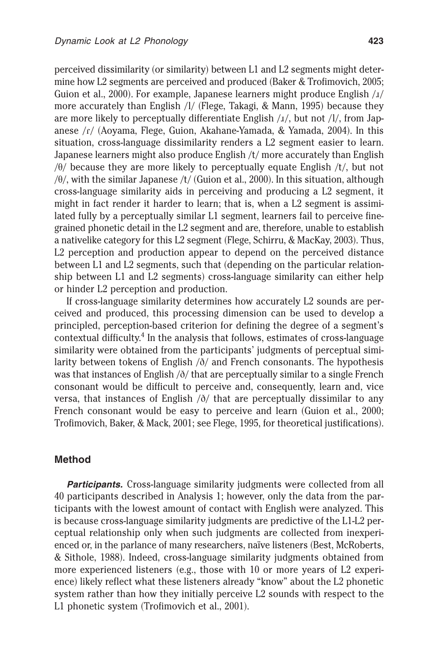perceived dissimilarity (or similarity) between  $L1$  and  $L2$  segments might determine how L2 segments are perceived and produced (Baker & Trofimovich, 2005; Guion et al., 2000). For example, Japanese learners might produce English  $\lambda$  / more accurately than English  $\frac{1}{2}$  (Flege, Takagi, & Mann, 1995) because they are more likely to perceptually differentiate English  $\lambda/\lambda$ , but not  $\lambda/\lambda$ , from Japanese  $\sqrt{r}$  (Aoyama, Flege, Guion, Akahane-Yamada, & Yamada, 2004). In this situation, cross-language dissimilarity renders a L2 segment easier to learn. Japanese learners might also produce English  $/t/m$  more accurately than English  $\theta$  because they are more likely to perceptually equate English /t/, but not  $/0/$ , with the similar Japanese /t/ (Guion et al., 2000). In this situation, although cross-language similarity aids in perceiving and producing a L2 segment, it might in fact render it harder to learn; that is, when a L2 segment is assimilated fully by a perceptually similar L1 segment, learners fail to perceive finegrained phonetic detail in the L2 segment and are, therefore, unable to establish a nativelike category for this  $L2$  segment (Flege, Schirru, & MacKay, 2003). Thus, L2 perception and production appear to depend on the perceived distance between  $L1$  and  $L2$  segments, such that (depending on the particular relationship between L1 and L2 segments) cross-language similarity can either help or hinder L2 perception and production.

If cross-language similarity determines how accurately L2 sounds are perceived and produced, this processing dimension can be used to develop a principled, perception-based criterion for defining the degree of a segment's contextual difficulty+ <sup>4</sup> In the analysis that follows, estimates of cross-language similarity were obtained from the participants' judgments of perceptual similarity between tokens of English  $\delta/$  and French consonants. The hypothesis was that instances of English  $\delta$  that are perceptually similar to a single French consonant would be difficult to perceive and, consequently, learn and, vice versa, that instances of English  $\delta$  that are perceptually dissimilar to any French consonant would be easy to perceive and learn  $(Gu)$  et al., 2000; Trofimovich, Baker, & Mack, 2001; see Flege, 1995, for theoretical justifications).

#### **Method**

**Participants.** Cross-language similarity judgments were collected from all 40 participants described in Analysis 1; however, only the data from the participants with the lowest amount of contact with English were analyzed+ This is because cross-language similarity judgments are predictive of the L1-L2 perceptual relationship only when such judgments are collected from inexperienced or, in the parlance of many researchers, naïve listeners (Best, McRoberts, & Sithole, 1988). Indeed, cross-language similarity judgments obtained from more experienced listeners (e.g., those with 10 or more years of L2 experience) likely reflect what these listeners already "know" about the L2 phonetic system rather than how they initially perceive L2 sounds with respect to the L1 phonetic system  $(Trofimovich et al., 2001).$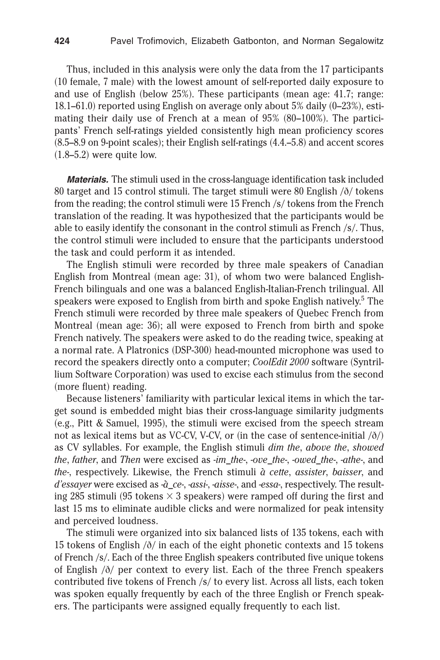Thus, included in this analysis were only the data from the 17 participants  $(10$  female,  $7$  male) with the lowest amount of self-reported daily exposure to and use of English (below 25%). These participants (mean age:  $41.7$ ; range: 18.1–61.0) reported using English on average only about  $5\%$  daily  $(0-23\%)$ , estimating their daily use of French at a mean of  $95\%$  (80–100%). The participants' French self-ratings yielded consistently high mean proficiency scores  $(8.5–8.9 \text{ on } 9\text{-point scales})$ ; their English self-ratings  $(4.4.-5.8)$  and accent scores  $(1.8-5.2)$  were quite low.

*Materials.* The stimuli used in the cross-language identification task included 80 target and 15 control stimuli. The target stimuli were 80 English  $\partial/\partial t$  tokens from the reading; the control stimuli were  $15$  French  $/s/$  tokens from the French translation of the reading. It was hypothesized that the participants would be able to easily identify the consonant in the control stimuli as French  $\frac{\xi}{\xi}$ . Thus, the control stimuli were included to ensure that the participants understood the task and could perform it as intended.

The English stimuli were recorded by three male speakers of Canadian English from Montreal (mean age:  $31$ ), of whom two were balanced English-French bilinguals and one was a balanced English-Italian-French trilingual+ All speakers were exposed to English from birth and spoke English natively. $^5$  The French stimuli were recorded by three male speakers of Quebec French from Montreal (mean age: 36); all were exposed to French from birth and spoke French natively. The speakers were asked to do the reading twice, speaking at a normal rate. A Platronics (DSP-300) head-mounted microphone was used to record the speakers directly onto a computer; *CoolEdit 2000* software (Syntrillium Software Corporation) was used to excise each stimulus from the second (more fluent) reading.

Because listeners' familiarity with particular lexical items in which the target sound is embedded might bias their cross-language similarity judgments  $(e.g., Pitt & Samuel, 1995)$ , the stimuli were excised from the speech stream not as lexical items but as VC-CV, V-CV, or (in the case of sentence-initial  $\langle \delta \rangle$ ) as CV syllables+ For example, the English stimuli *dim the*, *above the*, *showed the*, *father*, and *Then* were excised as *-im\_the-*, *-ove\_the-*, *-owed\_the-*, *-athe-*, and *the-*, respectively+ Likewise, the French stimuli *à cette*, *assister*, *baisser*, and *d'essayer* were excised as *-à\_ce-*, *-assi-*, *-aisse-*, and *-essa-*, respectively+ The resulting 285 stimuli (95 tokens  $\times$  3 speakers) were ramped off during the first and last 15 ms to eliminate audible clicks and were normalized for peak intensity and perceived loudness.

The stimuli were organized into six balanced lists of 135 tokens, each with 15 tokens of English  $\delta/$  in each of the eight phonetic contexts and 15 tokens of French  $/s/$ . Each of the three English speakers contributed five unique tokens of English  $\delta$  per context to every list. Each of the three French speakers contributed five tokens of French  $\frac{s}{t}$  to every list. Across all lists, each token was spoken equally frequently by each of the three English or French speakers. The participants were assigned equally frequently to each list.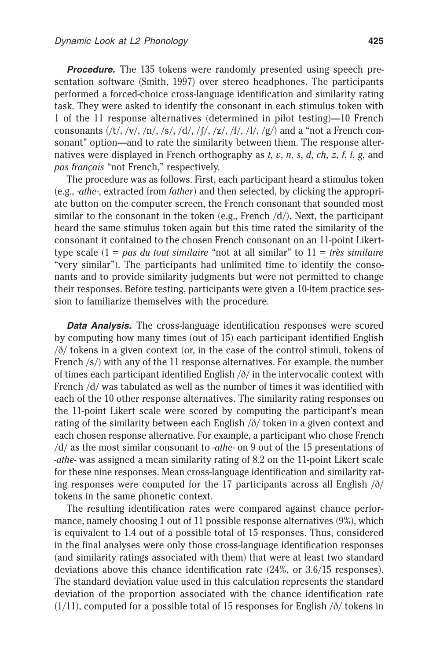*Procedure.* The 135 tokens were randomly presented using speech presentation software (Smith, 1997) over stereo headphones. The participants performed a forced-choice cross-language identification and similarity rating task. They were asked to identify the consonant in each stimulus token with 1 of the 11 response alternatives (determined in pilot testing)—10 French consonants  $/(t/$ ,  $/v/$ ,  $/n/$ ,  $/s/$ ,  $/d/$ ,  $/f/$ ,  $/z/$ ,  $/t/$ ,  $/l/$ ,  $/g/$ ) and a "not a French consonant" option—and to rate the similarity between them. The response alternatives were displayed in French orthography as *t*, *v*, *n*, *s*, *d*, *ch*, *z*, *f*, *l*, *g*, and *pas français* "not French," respectively.

The procedure was as follows. First, each participant heard a stimulus token  $(e.g., -a$ the-, extracted from *father*) and then selected, by clicking the appropriate button on the computer screen, the French consonant that sounded most similar to the consonant in the token  $(e.g.,$  French  $/d)$ . Next, the participant heard the same stimulus token again but this time rated the similarity of the consonant it contained to the chosen French consonant on an 11-point Likerttype scale  $(1 = pas du$  *tout similaire* "not at all similar" to  $11 = tr\tilde{e}s$  similaire "very similar"). The participants had unlimited time to identify the consonants and to provide similarity judgments but were not permitted to change their responses. Before testing, participants were given a 10-item practice session to familiarize themselves with the procedure.

*Data Analysis.* The cross-language identification responses were scored by computing how many times (out of 15) each participant identified English  $\delta$  tokens in a given context (or, in the case of the control stimuli, tokens of French  $\langle s \rangle$  with any of the 11 response alternatives. For example, the number of times each participant identified English  $\delta$  in the intervocalic context with French  $\frac{d}{dx}$  was tabulated as well as the number of times it was identified with each of the 10 other response alternatives. The similarity rating responses on the 11-point Likert scale were scored by computing the participant's mean rating of the similarity between each English  $\delta$  token in a given context and each chosen response alternative. For example, a participant who chose French  $\frac{d}{dx}$  as the most similar consonant to *-athe*- on 9 out of the 15 presentations of *-athe-* was assigned a mean similarity rating of 8+2 on the 11-point Likert scale for these nine responses. Mean cross-language identification and similarity rating responses were computed for the 17 participants across all English  $\partial$ tokens in the same phonetic context.

The resulting identification rates were compared against chance performance, namely choosing 1 out of 11 possible response alternatives  $(9\%)$ , which is equivalent to 1.4 out of a possible total of 15 responses. Thus, considered in the final analyses were only those cross-language identification responses (and similarity ratings associated with them) that were at least two standard deviations above this chance identification rate  $(24\%$ , or 3.6/15 responses). The standard deviation value used in this calculation represents the standard deviation of the proportion associated with the chance identification rate  $(1/11)$ , computed for a possible total of 15 responses for English  $\delta$  tokens in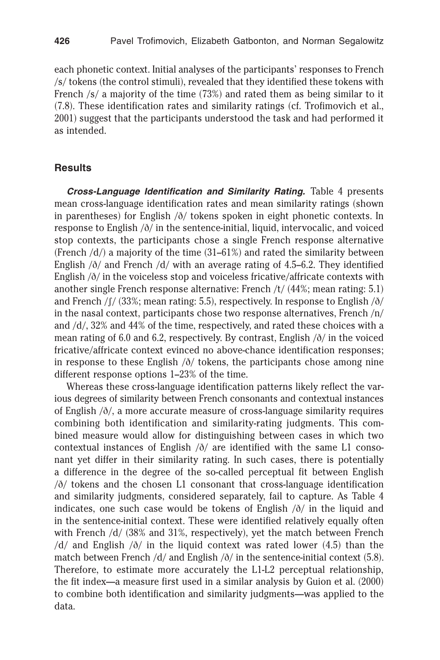each phonetic context. Initial analyses of the participants' responses to French  $/s/$  tokens (the control stimuli), revealed that they identified these tokens with French  $/s/$  a majority of the time  $(73%)$  and rated them as being similar to it  $(7.8)$ . These identification rates and similarity ratings (cf. Trofimovich et al., 2001) suggest that the participants understood the task and had performed it as intended.

#### **Results**

*Cross-Language Identification and Similarity Rating.* Table 4 presents mean cross-language identification rates and mean similarity ratings (shown in parentheses) for English  $\partial$  tokens spoken in eight phonetic contexts. In response to English  $\delta$  in the sentence-initial, liquid, intervocalic, and voiced stop contexts, the participants chose a single French response alternative (French  $/d$ ) a majority of the time  $(31-61%)$  and rated the similarity between English  $\delta$  and French /d/ with an average rating of 4.5–6.2. They identified English  $\delta$  in the voiceless stop and voiceless fricative/affricate contexts with another single French response alternative: French  $/t/$  (44%; mean rating: 5.1) and French  $\int \int \int \langle 33\%; \text{ mean rating: } 5.5 \rangle$ , respectively. In response to English  $\partial \delta$ in the nasal context, participants chose two response alternatives, French  $/n/$ and  $\frac{d}{32\%}$  and 44% of the time, respectively, and rated these choices with a mean rating of 6.0 and 6.2, respectively. By contrast, English  $\delta/$  in the voiced fricative/affricate context evinced no above-chance identification responses; in response to these English  $\delta/$  tokens, the participants chose among nine different response options  $1-23%$  of the time.

Whereas these cross-language identification patterns likely reflect the various degrees of similarity between French consonants and contextual instances of English  $\delta$ , a more accurate measure of cross-language similarity requires combining both identification and similarity-rating judgments. This combined measure would allow for distinguishing between cases in which two contextual instances of English  $\delta$  are identified with the same L1 consonant yet differ in their similarity rating. In such cases, there is potentially a difference in the degree of the so-called perceptual fit between English  $\delta$  tokens and the chosen L1 consonant that cross-language identification and similarity judgments, considered separately, fail to capture. As Table 4 indicates, one such case would be tokens of English  $\partial$  in the liquid and in the sentence-initial context. These were identified relatively equally often with French  $\frac{d}{38\%}$  and 31%, respectively), yet the match between French  $\frac{d}{dx}$  and English  $\frac{d}{dx}$  in the liquid context was rated lower  $(4.5)$  than the match between French  $\frac{d}{d}$  and English  $\frac{d}{d}$  in the sentence-initial context (5.8). Therefore, to estimate more accurately the L1-L2 perceptual relationship, the fit index—a measure first used in a similar analysis by Guion et al.  $(2000)$ to combine both identification and similarity judgments—was applied to the data.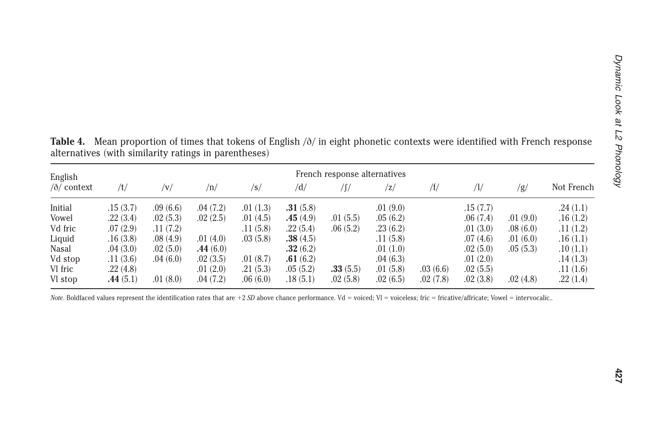| <b>Table 4.</b> Mean proportion of times that tokens of English $/\delta$ in eight phonetic contexts were identified with French response |
|-------------------------------------------------------------------------------------------------------------------------------------------|
| alternatives (with similarity ratings in parentheses)                                                                                     |
|                                                                                                                                           |

| English            | French response alternatives |          |          |          |          |          |          |          |          |          |            |
|--------------------|------------------------------|----------|----------|----------|----------|----------|----------|----------|----------|----------|------------|
| $\delta$ / context | /t/                          | /v/      | /n/      | /s/      | /d/      | /∫/      | /z/      | /f/      | /Ι/      | /g/      | Not French |
| Initial            | .15(3.7)                     | .09(6.6) | .04(7.2) | .01(1.3) | .31(5.8) |          | .01(9.0) |          | .15(7.7) |          | .24(1.1)   |
| Vowel              | .22(3.4)                     | .02(5.3) | .02(2.5) | .01(4.5) | .45(4.9) | .01(5.5) | .05(6.2) |          | .06(7.4) | .01(9.0) | .16(1.2)   |
| Vd fric            | .07(2.9)                     | .11(7.2) |          | .11(5.8) | .22(5.4) | .06(5.2) | .23(6.2) |          | .01(3.0) | .08(6.0) | .11(1.2)   |
| Liquid             | .16(3.8)                     | .08(4.9) | .01(4.0) | .03(5.8) | .38(4.5) |          | .11(5.8) |          | .07(4.6) | .01(6.0) | .16(1.1)   |
| <b>Nasal</b>       | .04(3.0)                     | .02(5.0) | .44(6.0) |          | .32(6.2) |          | .01(1.0) |          | .02(5.0) | .05(5.3) | .10(1.1)   |
| Vd stop            | .11(3.6)                     | .04(6.0) | .02(3.5) | .01(8.7) | .61(6.2) |          | .04(6.3) |          | .01(2.0) |          | .14(1.3)   |
| Vl fric            | .22(4.8)                     |          | .01(2.0) | .21(5.3) | .05(5.2) | .33(5.5) | .01(5.8) | .03(6.6) | .02(5.5) |          | .11(1.6)   |
| Vl stop            | .44(5.1)                     | .01(8.0) | .04(7.2) | .06(6.0) | .18(5.1) | .02(5.8) | .02(6.5) | .02(7.8) | .02(3.8) | .02(4.8) | .22(1.4)   |

*Note.* Boldfaced values represent the identification rates that are +2 *SD* above chance performance. Vd = voiced; Vl = voiceless; fric = fricative/affricate; Vowel = intervocalic..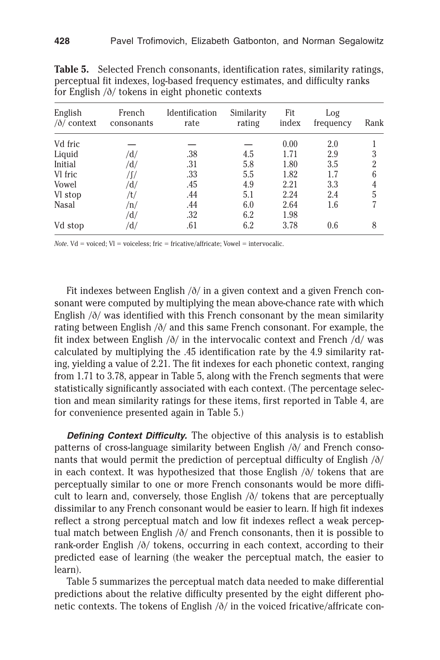| English<br>$\delta$ / context | French<br>consonants | Identification<br>rate | Similarity<br>rating | Fit<br>index | Log<br>frequency | Rank           |
|-------------------------------|----------------------|------------------------|----------------------|--------------|------------------|----------------|
| Vd fric                       |                      |                        |                      | 0.00         | 2.0              |                |
| Liquid                        | /d/                  | .38                    | 4.5                  | 1.71         | 2.9              | 3              |
| Initial                       | /d/                  | .31                    | 5.8                  | 1.80         | 3.5              | $\overline{2}$ |
| Vl fric                       | /∫/                  | .33                    | 5.5                  | 1.82         | 1.7              | 6              |
| Vowel                         | /d/                  | .45                    | 4.9                  | 2.21         | 3.3              | 4              |
| Vl stop                       | /t/                  | .44                    | 5.1                  | 2.24         | 2.4              | 5              |
| Nasal                         | /n/                  | .44                    | 6.0                  | 2.64         | 1.6              |                |
|                               | /d/                  | .32                    | 6.2                  | 1.98         |                  |                |
| Vd stop                       | /d/                  | .61                    | 6.2                  | 3.78         | 0.6              | 8              |

**Table 5.** Selected French consonants, identification rates, similarity ratings, perceptual fit indexes, log-based frequency estimates, and difficulty ranks for English  $\partial/\partial t$  tokens in eight phonetic contexts

*Note*. Vd = voiced; Vl = voiceless; fric = fricative/affricate; Vowel = intervocalic.

Fit indexes between English  $\partial$  in a given context and a given French consonant were computed by multiplying the mean above-chance rate with which English  $\delta$  was identified with this French consonant by the mean similarity rating between English  $\delta$  and this same French consonant. For example, the fit index between English  $\delta$  in the intervocalic context and French  $\delta$  /d/ was calculated by multiplying the +45 identification rate by the 4+9 similarity rating, yielding a value of 2.21. The fit indexes for each phonetic context, ranging from 1.71 to 3.78, appear in Table 5, along with the French segments that were statistically significantly associated with each context. (The percentage selection and mean similarity ratings for these items, first reported in Table 4, are for convenience presented again in Table 5.)

*Defining Context Difficulty.* The objective of this analysis is to establish patterns of cross-language similarity between English  $\partial$  and French consonants that would permit the prediction of perceptual difficulty of English  $\partial$ in each context. It was hypothesized that those English  $\delta$  tokens that are perceptually similar to one or more French consonants would be more difficult to learn and, conversely, those English  $\partial$  tokens that are perceptually dissimilar to any French consonant would be easier to learn. If high fit indexes reflect a strong perceptual match and low fit indexes reflect a weak perceptual match between English  $\partial/\partial \phi$  and French consonants, then it is possible to rank-order English  $\partial/\partial \phi$  tokens, occurring in each context, according to their predicted ease of learning (the weaker the perceptual match, the easier to learn).

Table 5 summarizes the perceptual match data needed to make differential predictions about the relative difficulty presented by the eight different phonetic contexts. The tokens of English  $\delta/$  in the voiced fricative/affricate con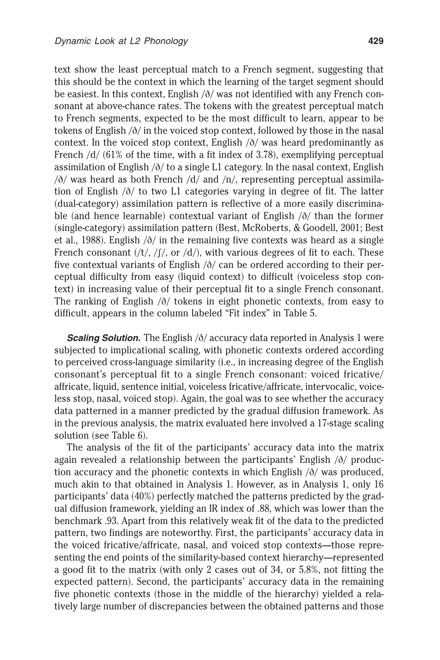text show the least perceptual match to a French segment, suggesting that this should be the context in which the learning of the target segment should be easiest. In this context, English  $\partial$  was not identified with any French consonant at above-chance rates. The tokens with the greatest perceptual match to French segments, expected to be the most difficult to learn, appear to be tokens of English  $\delta$  in the voiced stop context, followed by those in the nasal context. In the voiced stop context, English  $\partial$  was heard predominantly as French  $\frac{d}{d}$  (61% of the time, with a fit index of 3.78), exemplifying perceptual assimilation of English  $\delta$  to a single L1 category. In the nasal context, English  $\delta$  was heard as both French  $\frac{d}{d}$  and  $\frac{n}{n}$ , representing perceptual assimilation of English  $\delta/$  to two L1 categories varying in degree of fit. The latter  $(dual-category)$  assimilation pattern is reflective of a more easily discriminable (and hence learnable) contextual variant of English  $\delta$  than the former  $(single-category)$  assimilation pattern  $(Best, McKoberts, & Goodell, 2001; Best)$ et al., 1988). English  $\delta/$  in the remaining five contexts was heard as a single French consonant  $/(t)$ ,  $/$ , or  $/d$ ), with various degrees of fit to each. These five contextual variants of English  $\delta$  can be ordered according to their perceptual difficulty from easy (liquid context) to difficult (voiceless stop context) in increasing value of their perceptual fit to a single French consonant. The ranking of English  $\delta$  tokens in eight phonetic contexts, from easy to difficult, appears in the column labeled "Fit index" in Table 5.

*Scaling Solution.* The English  $\delta$  accuracy data reported in Analysis 1 were subjected to implicational scaling, with phonetic contexts ordered according to perceived cross-language similarity (i.e., in increasing degree of the English consonant's perceptual fit to a single French consonant: voiced fricative/ affricate, liquid, sentence initial, voiceless fricative/affricate, intervocalic, voiceless stop, nasal, voiced stop). Again, the goal was to see whether the accuracy data patterned in a manner predicted by the gradual diffusion framework. As in the previous analysis, the matrix evaluated here involved a 17-stage scaling solution (see Table  $6$ ).

The analysis of the fit of the participants' accuracy data into the matrix again revealed a relationship between the participants' English  $\partial$  production accuracy and the phonetic contexts in which English  $\delta/\delta$  was produced, much akin to that obtained in Analysis 1. However, as in Analysis 1, only 16 participants' data  $(40\%)$  perfectly matched the patterns predicted by the gradual diffusion framework, yielding an IR index of +88, which was lower than the benchmark +93+ Apart from this relatively weak fit of the data to the predicted pattern, two findings are noteworthy. First, the participants' accuracy data in the voiced fricative/affricate, nasal, and voiced stop contexts—those representing the end points of the similarity-based context hierarchy—represented a good fit to the matrix (with only 2 cases out of  $34$ , or 5.8%, not fitting the expected pattern). Second, the participants' accuracy data in the remaining five phonetic contexts (those in the middle of the hierarchy) yielded a relatively large number of discrepancies between the obtained patterns and those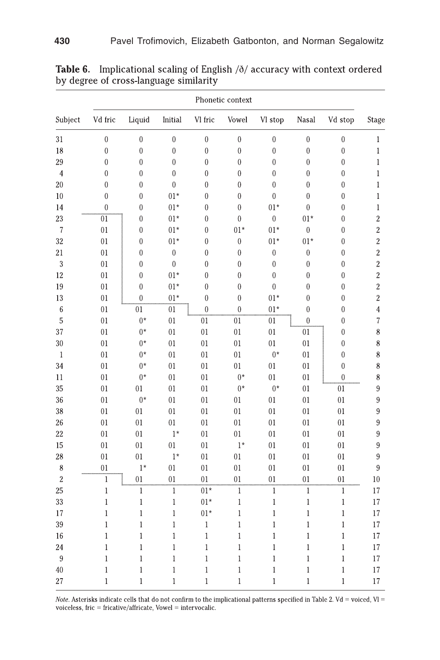|                           | Phonetic context |                  |                  |                  |                  |                  |                  |                  |                  |  |  |
|---------------------------|------------------|------------------|------------------|------------------|------------------|------------------|------------------|------------------|------------------|--|--|
| Subject                   | Vd fric          | Liquid           | Initial          | Vl fric          | Vowel            | Vl stop          | Nasal            | Vd stop          | Stage            |  |  |
| 31                        | $\overline{0}$   | $\overline{0}$   | $\overline{0}$   | $\overline{0}$   | $\overline{0}$   | $\overline{0}$   | $\overline{0}$   | $\boldsymbol{0}$ | $\mathbf{1}$     |  |  |
| 18                        | $\overline{0}$   | $\boldsymbol{0}$ | $\boldsymbol{0}$ | $\boldsymbol{0}$ | $\overline{0}$   | $\boldsymbol{0}$ | $\boldsymbol{0}$ | $\boldsymbol{0}$ | $\mathbf{1}$     |  |  |
| 29                        | $\mathbf{0}$     | $\overline{0}$   | $\overline{0}$   | $\mathbf{0}$     | $\overline{0}$   | $\mathbf{0}$     | $\overline{0}$   | $\mathbf{0}$     | $\mathbf{1}$     |  |  |
| $\overline{4}$            | $\boldsymbol{0}$ | $\boldsymbol{0}$ | $\mathbf{0}$     | $\boldsymbol{0}$ | $\boldsymbol{0}$ | $\overline{0}$   | $\boldsymbol{0}$ | $\overline{0}$   | $\mathbf{1}$     |  |  |
| 20                        | $\overline{0}$   | $\boldsymbol{0}$ | $\overline{0}$   | $\mathbf{0}$     | $\overline{0}$   | $\overline{0}$   | $\boldsymbol{0}$ | $\boldsymbol{0}$ | $\mathbf{1}$     |  |  |
| 10                        | $\overline{0}$   | $\overline{0}$   | $01*$            | $\mathbf{0}$     | $\overline{0}$   | $\overline{0}$   | $\overline{0}$   | $\mathbf{0}$     | $\mathbf{1}$     |  |  |
| 14                        | $\boldsymbol{0}$ | $\boldsymbol{0}$ | $01*$            | $\mathbf{0}$     | $\boldsymbol{0}$ | $01*$            | $\boldsymbol{0}$ | $\boldsymbol{0}$ | $\mathbf{1}$     |  |  |
| 23                        | $\overline{01}$  | $\boldsymbol{0}$ | $01*$            | $\mathbf{0}$     | $\overline{0}$   | $\mathbf{0}$     | $01*$            | $\overline{0}$   | $\overline{2}$   |  |  |
| $\overline{\mathfrak{c}}$ | 01               | $\overline{0}$   | $01*$            | $\theta$         | $01*$            | $01*$            | $\boldsymbol{0}$ | $\overline{0}$   | $\overline{2}$   |  |  |
| 32                        | 01               | $\boldsymbol{0}$ | $01*$            | $\boldsymbol{0}$ | $\boldsymbol{0}$ | $01*$            | $01*$            | $\boldsymbol{0}$ | $\overline{2}$   |  |  |
| 21                        | 01               | $\boldsymbol{0}$ | $\boldsymbol{0}$ | $\boldsymbol{0}$ | $\boldsymbol{0}$ | $\boldsymbol{0}$ | $\boldsymbol{0}$ | $\boldsymbol{0}$ | $\overline{2}$   |  |  |
| $\overline{3}$            | 01               | $\boldsymbol{0}$ | $\overline{0}$   | $\mathbf{0}$     | $\boldsymbol{0}$ | $\mathbf{0}$     | $\overline{0}$   | $\boldsymbol{0}$ | $\overline{2}$   |  |  |
| 12                        | 01               | $\boldsymbol{0}$ | $01*$            | $\overline{0}$   | $\overline{0}$   | $\overline{0}$   | $\boldsymbol{0}$ | $\boldsymbol{0}$ | $\overline{2}$   |  |  |
| 19                        | 01               | $\mathbf{0}$     | $01*$            | $\mathbf{0}$     | $\overline{0}$   | $\overline{0}$   | $\overline{0}$   | $\overline{0}$   | $\overline{2}$   |  |  |
| 13                        | $01\,$           | $\boldsymbol{0}$ | $01*$            | $\boldsymbol{0}$ | $\boldsymbol{0}$ | $01*$            | $\boldsymbol{0}$ | $\boldsymbol{0}$ | $\overline{2}$   |  |  |
| $\,6\,$                   | 01               | $\overline{01}$  | $\overline{01}$  | $\overline{0}$   | $\overline{0}$   | $01*$            | $\overline{0}$   | $\boldsymbol{0}$ | $\overline{4}$   |  |  |
| $\overline{5}$            | 01               | $0^*$            | 01               | $\overline{01}$  | $\overline{01}$  | $\overline{01}$  | $\boldsymbol{0}$ | $\boldsymbol{0}$ | $\overline{7}$   |  |  |
| 37                        | 01               | $0^*$            | 01               | 01               | 01               | 01               | $01\,$           | $\boldsymbol{0}$ | 8                |  |  |
| 30                        | 01               | $0*$             | 01               | 01               | 01               | 01               | 01               | $\overline{0}$   | 8                |  |  |
| $\mathbf{1}$              | 01               | $0*$             | 01               | 01               | 01               | $0^*$            | 01               | $\overline{0}$   | 8                |  |  |
| 34                        | 01               | $0*$             | 01               | 01               | 01               | 01               | 01               | $\overline{0}$   | $\boldsymbol{8}$ |  |  |
| 11                        | 01               | $0^*$            | 01               | 01               | $0^*$            | 01               | 01               | $\overline{0}$   | $\boldsymbol{8}$ |  |  |
| 35                        | 01               | 01               | 01               | 01               | $0^*$            | $0^*$            | 01               | $\overline{01}$  | 9                |  |  |
| $36\,$                    | 01               | $0*$             | 01               | 01               | 01               | 01               | 01               | 01               | $\overline{9}$   |  |  |
| 38                        | 01               | $01\,$           | 01               | 01               | 01               | 01               | 01               | 01               | $\overline{9}$   |  |  |
| 26                        | 01               | 01               | 01               | 01               | 01               | 01               | 01               | 01               | 9                |  |  |
| $22\,$                    | 01               | $01\,$           | $1*$             | 01               | 01               | 01               | 01               | 01               | 9                |  |  |
| 15                        | 01               | 01               | 01               | 01               | $1*$             | 01               | 01               | 01               | $\overline{9}$   |  |  |
| 28                        | 01               | 01               | $1*$             | 01               | 01               | 01               | 01               | 01               | $\overline{9}$   |  |  |
| $\,$ 8 $\,$               | 01               | $1*$             | 01               | 01               | 01               | 01               | 01               | 01               | $\boldsymbol{9}$ |  |  |
| $\overline{2}$            | $\overline{1}$   | 01               | 01               | 01               | 01               | 01               | 01               | 01               | $10\,$           |  |  |
| 25                        | $\,1$            | $\mathbf{1}$     | 1                | $01*$            | $\,1\,$          | $\mathbf{1}$     | $\mathbf{1}$     | $\mathbf{1}$     | 17               |  |  |
| 33                        | $\,1$            | $\,1$            | $\,1$            | $01*$            | $\,1\,$          | $\,1$            | $\,1$            | $\,1$            | 17               |  |  |
| 17                        | $\mathbf{1}$     | $\mathbf{1}$     | $\mathbf{1}$     | $01*$            | $\mathbf{1}$     | $\mathbf{1}$     | $\mathbf{1}$     | $\mathbf{1}$     | 17               |  |  |
| 39                        | 1                | 1                | 1                | $\mathbf{1}$     | $\mathbf{1}$     | $\mathbf{1}$     | $\mathbf{1}$     | 1                | 17               |  |  |
| 16                        | $\mathbf{1}$     | $\mathbf{1}$     | $\mathbf{1}$     | $\mathbf{1}$     | $\mathbf{1}$     | $\mathbf{1}$     | $\mathbf{1}$     | $\mathbf{1}$     | 17               |  |  |
| 24                        | $\mathbf{1}$     | $\mathbf{1}$     | $\mathbf{1}$     | $\mathbf{1}$     | $\mathbf{1}$     | $\mathbf{1}$     | $\mathbf{1}$     | $\mathbf{1}$     | 17               |  |  |
| $\boldsymbol{9}$          | $\,1$            | $\mathbf 1$      | $\mathbf 1$      | $\mathbf{1}$     | $\mathbf{1}$     | $\mathbf 1$      | $\mathbf{1}$     | $\mathbf 1$      | 17               |  |  |
| 40                        | $\mathbf{1}$     | $\mathbf{1}$     | $\mathbf{1}$     | $\mathbf 1$      | $\mathbf{1}$     | $\mathbf{1}$     | $\mathbf{1}$     | $\mathbf{1}$     | 17               |  |  |
| 27                        | 1                | 1                | 1                | $\mathbf 1$      | $\mathbf{1}$     | $\overline{1}$   | $\mathbf{1}$     | 1                | 17               |  |  |

Table 6. Implicational scaling of English  $/\delta/$  accuracy with context ordered by degree of cross-language similarity

Note. Asterisks indicate cells that do not confirm to the implicational patterns specified in Table 2. Vd = voiced, Vl = voiceless, fric = fricative/affricate, Vowel = intervocalic.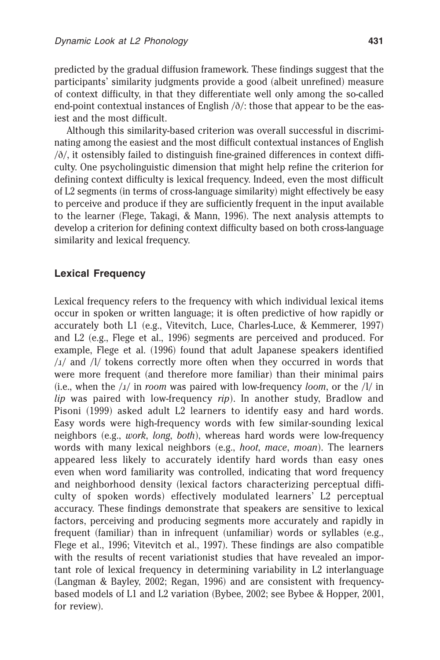predicted by the gradual diffusion framework. These findings suggest that the participants' similarity judgments provide a good (albeit unrefined) measure of context difficulty, in that they differentiate well only among the so-called end-point contextual instances of English  $\delta/\delta$ : those that appear to be the easiest and the most difficult.

Although this similarity-based criterion was overall successful in discriminating among the easiest and the most difficult contextual instances of English  $\delta$ , it ostensibly failed to distinguish fine-grained differences in context difficulty+ One psycholinguistic dimension that might help refine the criterion for defining context difficulty is lexical frequency. Indeed, even the most difficult of  $L2$  segments (in terms of cross-language similarity) might effectively be easy to perceive and produce if they are sufficiently frequent in the input available to the learner (Flege, Takagi,  $&$  Mann, 1996). The next analysis attempts to develop a criterion for defining context difficulty based on both cross-language similarity and lexical frequency.

### **Lexical Frequency**

Lexical frequency refers to the frequency with which individual lexical items occur in spoken or written language; it is often predictive of how rapidly or accurately both L1 (e.g., Vitevitch, Luce, Charles-Luce, & Kemmerer, 1997) and L2  $(e.g.,$  Flege et al., 1996) segments are perceived and produced. For example, Flege et al. (1996) found that adult Japanese speakers identified  $\frac{1}{4}$  and  $\frac{1}{1}$  tokens correctly more often when they occurred in words that were more frequent (and therefore more familiar) than their minimal pairs  $(i.e., when the /i/$  in *room* was paired with low-frequency *loom*, or the  $\frac{1}{i}$  in *lip* was paired with low-frequency *rip*). In another study, Bradlow and Pisoni (1999) asked adult L2 learners to identify easy and hard words. Easy words were high-frequency words with few similar-sounding lexical neighbors (e.g., *work*, *long*, *both*), whereas hard words were low-frequency words with many lexical neighbors (e.g., *hoot, mace, moan*). The learners appeared less likely to accurately identify hard words than easy ones even when word familiarity was controlled, indicating that word frequency and neighborhood density (lexical factors characterizing perceptual difficulty of spoken words) effectively modulated learners' L<sub>2</sub> perceptual accuracy. These findings demonstrate that speakers are sensitive to lexical factors, perceiving and producing segments more accurately and rapidly in frequent  $({\text{family}})$  than in infrequent  $({\text{unfamily}})$  words or syllables  $(e.g.,$ Flege et al., 1996; Vitevitch et al., 1997). These findings are also compatible with the results of recent variationist studies that have revealed an important role of lexical frequency in determining variability in L2 interlanguage  $(Langman & Bayley, 2002; Regan, 1996)$  and are consistent with frequencybased models of L1 and L2 variation (Bybee, 2002; see Bybee & Hopper, 2001, for review).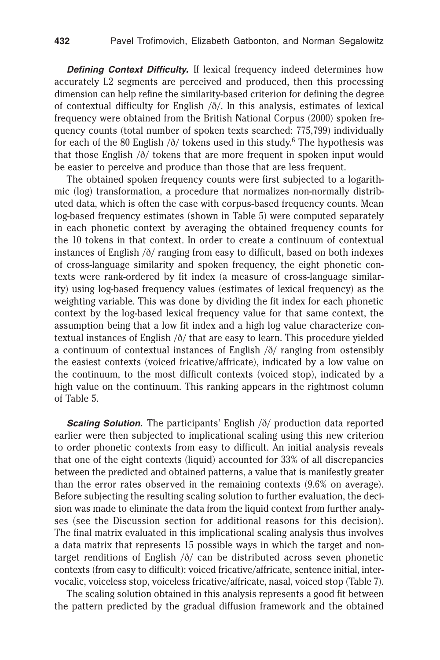*Defining Context Difficulty.* If lexical frequency indeed determines how accurately L2 segments are perceived and produced, then this processing dimension can help refine the similarity-based criterion for defining the degree of contextual difficulty for English  $\partial \dot{\theta}$ . In this analysis, estimates of lexical frequency were obtained from the British National Corpus (2000) spoken frequency counts (total number of spoken texts searched: 775,799) individually for each of the 80 English /ð/ tokens used in this study. $^6$  The hypothesis was that those English  $\delta$  tokens that are more frequent in spoken input would be easier to perceive and produce than those that are less frequent.

The obtained spoken frequency counts were first subjected to a logarithmic (log) transformation, a procedure that normalizes non-normally distributed data, which is often the case with corpus-based frequency counts. Mean log-based frequency estimates (shown in Table 5) were computed separately in each phonetic context by averaging the obtained frequency counts for the 10 tokens in that context. In order to create a continuum of contextual instances of English  $\partial$  ranging from easy to difficult, based on both indexes of cross-language similarity and spoken frequency, the eight phonetic contexts were rank-ordered by fit index (a measure of cross-language similarity) using log-based frequency values (estimates of lexical frequency) as the weighting variable. This was done by dividing the fit index for each phonetic context by the log-based lexical frequency value for that same context, the assumption being that a low fit index and a high log value characterize contextual instances of English  $\delta$  that are easy to learn. This procedure yielded a continuum of contextual instances of English  $\delta$  ranging from ostensibly the easiest contexts (voiced fricative/affricate), indicated by a low value on the continuum, to the most difficult contexts (voiced stop), indicated by a high value on the continuum. This ranking appears in the rightmost column of Table 5+

*Scaling Solution.* The participants' English  $\delta$  production data reported earlier were then subjected to implicational scaling using this new criterion to order phonetic contexts from easy to difficult. An initial analysis reveals that one of the eight contexts (liquid) accounted for  $33\%$  of all discrepancies between the predicted and obtained patterns, a value that is manifestly greater than the error rates observed in the remaining contexts  $(9.6\%$  on average). Before subjecting the resulting scaling solution to further evaluation, the decision was made to eliminate the data from the liquid context from further analyses (see the Discussion section for additional reasons for this decision). The final matrix evaluated in this implicational scaling analysis thus involves a data matrix that represents 15 possible ways in which the target and nontarget renditions of English  $\partial$  can be distributed across seven phonetic contexts (from easy to difficult): voiced fricative/affricate, sentence initial, intervocalic, voiceless stop, voiceless fricative/affricate, nasal, voiced stop (Table 7).

The scaling solution obtained in this analysis represents a good fit between the pattern predicted by the gradual diffusion framework and the obtained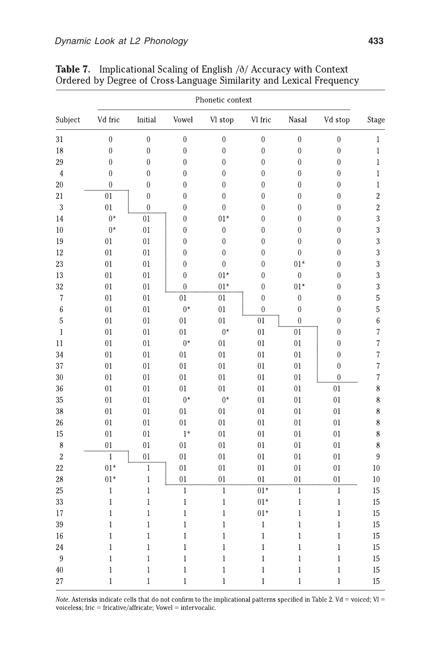|                |                  | Phonetic context |                  |                  |                  |                  |                       |                |  |  |  |
|----------------|------------------|------------------|------------------|------------------|------------------|------------------|-----------------------|----------------|--|--|--|
| Subject        | Vd fric          | Initial          | Vowel            | Vl stop          | Vl fric          | Nasal            | Vd stop               | Stage          |  |  |  |
| 31             | $\boldsymbol{0}$ | $\boldsymbol{0}$ | $\boldsymbol{0}$ | $\boldsymbol{0}$ | $\boldsymbol{0}$ | $\boldsymbol{0}$ | $\boldsymbol{0}$      | $\mathbf{1}$   |  |  |  |
| 18             | $\overline{0}$   | $\boldsymbol{0}$ | $\boldsymbol{0}$ | $\boldsymbol{0}$ | $\boldsymbol{0}$ | $\boldsymbol{0}$ | $\boldsymbol{0}$      | $\mathbf{1}$   |  |  |  |
| 29             | $\overline{0}$   | $\overline{0}$   | $\overline{0}$   | $\overline{0}$   | $\boldsymbol{0}$ | $\boldsymbol{0}$ | $\overline{0}$        | $\mathbf{1}$   |  |  |  |
| $\sqrt{4}$     | $\overline{0}$   | $\overline{0}$   | $\overline{0}$   | $\overline{0}$   | $\overline{0}$   | $\boldsymbol{0}$ | $\boldsymbol{0}$      | $\mathbf{1}$   |  |  |  |
| $20\,$         | $\theta$         | $\theta$         | $\overline{0}$   | $\overline{0}$   | $\theta$         | $\overline{0}$   | $\overline{0}$        | $\mathbf{1}$   |  |  |  |
| $21\,$         | $0 \\ 1$         | $\mathbf{0}$     | $\overline{0}$   | $\overline{0}$   | $\boldsymbol{0}$ | $\boldsymbol{0}$ | $\boldsymbol{0}$      | $\overline{2}$ |  |  |  |
| $\sqrt{3}$     | 01               | $\overline{0}$   | $\overline{0}$   | $\overline{0}$   | $\boldsymbol{0}$ | $\boldsymbol{0}$ | $\boldsymbol{0}$      | $\overline{2}$ |  |  |  |
| 14             | $0^*$            | $0 \\ 1$         | $\overline{0}$   | $01*$            | $\overline{0}$   | $\overline{0}$   | $\boldsymbol{0}$      | 3              |  |  |  |
| 10             | $0*$             | 01               | $\overline{0}$   | $\boldsymbol{0}$ | $\boldsymbol{0}$ | $\boldsymbol{0}$ | $\overline{0}$        | 3              |  |  |  |
| 19             | 01               | 01               | $\boldsymbol{0}$ | $\boldsymbol{0}$ | $\boldsymbol{0}$ | $\boldsymbol{0}$ | $\boldsymbol{0}$      | 3              |  |  |  |
| 12             | 01               | 01               | $\overline{0}$   | $\overline{0}$   | $\mathbf{0}$     | $\boldsymbol{0}$ | $\boldsymbol{0}$      | 3              |  |  |  |
| 23             | 01               | 01               | $\overline{0}$   | $\overline{0}$   | $\boldsymbol{0}$ | $01*$            | $\boldsymbol{0}$      | 3              |  |  |  |
| 13             | 01               | 01               | $\boldsymbol{0}$ | $01*$            | $\overline{0}$   | $\boldsymbol{0}$ | $\boldsymbol{0}$      | $\overline{3}$ |  |  |  |
| 32             | 01               | 01               | $\theta$         | $01*$            | $\mathbf{0}$     | $01*$            | $\overline{0}$        | 3              |  |  |  |
| $\overline{7}$ | 01               | 01               | 01               | 01               | $\overline{0}$   | $\boldsymbol{0}$ | $\boldsymbol{0}$      | 5              |  |  |  |
| 6              | 01               | 01               | $0^*$            | 01               | $\overline{0}$   | $\boldsymbol{0}$ | $\boldsymbol{0}$      | 5              |  |  |  |
| $\overline{5}$ | 01               | $01\,$           | 01               | $0 \\ 1$         | $01\,$           | $\overline{0}$   | $\boldsymbol{0}$      | $\,$ 6 $\,$    |  |  |  |
| $\mathbf{1}$   | 01               | 01               | 01               | $0^*$            | 01               | 01               | $\overline{0}$        | $\overline{7}$ |  |  |  |
| 11             | 01               | 01               | $0^*$            | 01               | 01               | 01               | $\overline{0}$        | $\overline{7}$ |  |  |  |
| 34             | 01               | 01               | 01               | 01               | 01               | 01               | $\overline{0}$        | $\overline{7}$ |  |  |  |
| 37             | 01               | 01               | 01               | 01               | 01               | 01               | $\boldsymbol{0}$      | 7              |  |  |  |
| 30             | 01               | 01               | 01               | 01               | 01               | $01\,$           | $\boldsymbol{0}$<br>. | 7              |  |  |  |
| 36             | 01               | 01               | 01               | 01               | 01               | 01               | 01                    | $\,8\,$        |  |  |  |
| 35             | 01               | 01               | $0*$             | $0^*$            | 01               | 01               | 01                    | $\,8\,$        |  |  |  |
| 38             | 01               | 01               | 01               | 01               | 01               | 01               | 01                    | $\,8\,$        |  |  |  |
| 26             | 01               | 01               | 01               | 01               | 01               | 01               | 01                    | 8              |  |  |  |
| 15             | 01               | 01               | $1*$             | 01               | 01               | 01               | 01                    | $\,8\,$        |  |  |  |
| $\,$ 8 $\,$    | 01               | 01               | 01               | 01               | 01               | 01               | 01                    | $\,8\,$        |  |  |  |
| $\overline{2}$ | $\mathbf{1}$     | 01               | 01               | 01               | 01               | 01               | 01                    | $\overline{9}$ |  |  |  |
| 22             | $01*$            | ï                | 01               | 01               | 01               | 01               | 01                    | $10\,$         |  |  |  |
| 28             | $01*$            | $\mathbf{1}$     | 01               | 01               | 01               | 01               | 01                    | $10\,$         |  |  |  |
| 25             | $\,1$            | $\mathbf{1}$     | $\,1\,$          | $\mathbf{1}$     | $01*$            | $\mathbf{1}$     | $\mathbf{1}$          | 15             |  |  |  |
| 33             | $\mathbf{1}$     | $\mathbf{1}$     | $\,1$            | $\,1$            | $01*$            | $\,1$            | $\mathbf 1$           | 15             |  |  |  |
| 17             | $\mathbf{1}$     | $\mathbf{1}$     | $\mathbf{1}$     | $\mathbf{1}$     | $01*$            | $\mathbf{1}$     | $\mathbf{1}$          | 15             |  |  |  |
| 39             | $\mathbf{1}$     | $\mathbf{1}$     | $\mathbf{1}$     | $\,1$            | $\,1$            | $\mathbf{1}$     | $\mathbf 1$           | 15             |  |  |  |
| 16             | $\mathbf{1}$     | $\mathbf{1}$     | $\mathbf{1}$     | $\mathbf{1}$     | $\mathbf{1}$     | $\mathbf{1}$     | $\mathbf{1}$          | 15             |  |  |  |
| 24             | $\mathbf{1}$     | $\mathbf{1}$     | $\mathbf{1}$     | $\mathbf{1}$     | $\mathbf{1}$     | $\mathbf{1}$     | $\mathbf{1}$          | 15             |  |  |  |
| 9              | $\mathbf{1}$     | $\mathbf{1}$     | $\mathbf{1}$     | $\mathbf{1}$     | $\mathbf{1}$     | $\mathbf{1}$     | 1                     | 15             |  |  |  |
| 40             | $\,1$            | $\mathbf 1$      | $\,1$            | $\,1$            | $\,1$            | $\,1$            | $\mathbf 1$           | 15             |  |  |  |
| 27             | $\mathbf{1}$     | $\mathbf{1}$     | $\mathbf{1}$     | $\mathbbm{1}$    | $\mathbf{1}$     | $\mathbf{1}$     | $\mathbf{1}$          | 15             |  |  |  |

Table 7. Implicational Scaling of English /ð/ Accuracy with Context Ordered by Degree of Cross-Language Similarity and Lexical Frequency

Note. Asterisks indicate cells that do not confirm to the implicational patterns specified in Table 2. Vd = voiced; Vl = voiceless; fric = fricative/affricate; Vowel = intervocalic.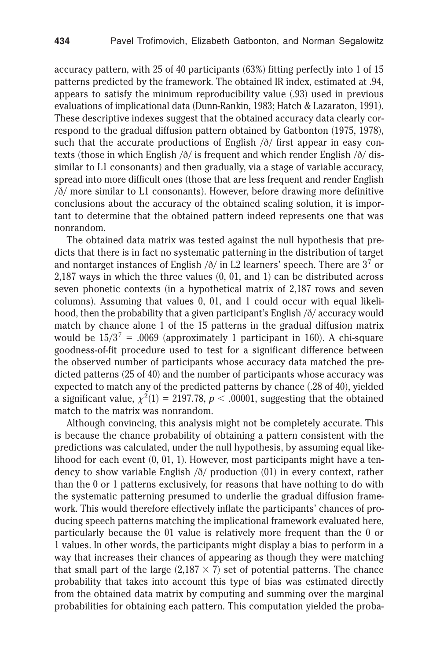accuracy pattern, with 25 of 40 participants  $(63%)$  fitting perfectly into 1 of 15 patterns predicted by the framework. The obtained IR index, estimated at .94, appears to satisfy the minimum reproducibility value  $(.93)$  used in previous evaluations of implicational data (Dunn-Rankin, 1983; Hatch & Lazaraton, 1991). These descriptive indexes suggest that the obtained accuracy data clearly correspond to the gradual diffusion pattern obtained by Gatbonton  $(1975, 1978)$ , such that the accurate productions of English  $\delta$  first appear in easy contexts (those in which English  $\delta/ \delta/$  is frequent and which render English  $\delta/ \delta/$  dissimilar to  $L1$  consonants) and then gradually, via a stage of variable accuracy, spread into more difficult ones (those that are less frequent and render English  $\delta$  more similar to L1 consonants). However, before drawing more definitive conclusions about the accuracy of the obtained scaling solution, it is important to determine that the obtained pattern indeed represents one that was nonrandom+

The obtained data matrix was tested against the null hypothesis that predicts that there is in fact no systematic patterning in the distribution of target and nontarget instances of English  $\partial$  in L2 learners' speech. There are 3<sup>7</sup> or 2,187 ways in which the three values  $(0, 01,$  and 1) can be distributed across seven phonetic contexts (in a hypothetical matrix of  $2,187$  rows and seven columns). Assuming that values  $0, 01$ , and 1 could occur with equal likelihood, then the probability that a given participant's English  $\partial/\partial \rho$  accuracy would match by chance alone 1 of the 15 patterns in the gradual diffusion matrix would be  $15/3^7$  = .0069 (approximately 1 participant in 160). A chi-square goodness-of-fit procedure used to test for a significant difference between the observed number of participants whose accuracy data matched the predicted patterns  $(25$  of  $40)$  and the number of participants whose accuracy was expected to match any of the predicted patterns by chance  $(.28 \text{ of } 40)$ , yielded a significant value,  $\chi^2(1) = 2197.78$ ,  $p < .00001$ , suggesting that the obtained match to the matrix was nonrandom.

Although convincing, this analysis might not be completely accurate. This is because the chance probability of obtaining a pattern consistent with the predictions was calculated, under the null hypothesis, by assuming equal likelihood for each event  $(0, 01, 1)$ . However, most participants might have a tendency to show variable English  $\delta$  production (01) in every context, rather than the 0 or 1 patterns exclusively, for reasons that have nothing to do with the systematic patterning presumed to underlie the gradual diffusion framework. This would therefore effectively inflate the participants' chances of producing speech patterns matching the implicational framework evaluated here, particularly because the 01 value is relatively more frequent than the 0 or 1 values. In other words, the participants might display a bias to perform in a way that increases their chances of appearing as though they were matching that small part of the large  $(2,187 \times 7)$  set of potential patterns. The chance probability that takes into account this type of bias was estimated directly from the obtained data matrix by computing and summing over the marginal probabilities for obtaining each pattern. This computation yielded the proba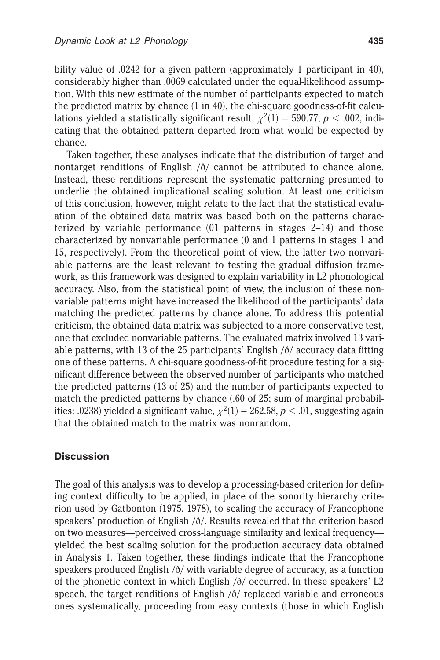bility value of  $.0242$  for a given pattern (approximately 1 participant in 40), considerably higher than +0069 calculated under the equal-likelihood assumption. With this new estimate of the number of participants expected to match the predicted matrix by chance  $(1 \text{ in } 40)$ , the chi-square goodness-of-fit calculations yielded a statistically significant result,  $\chi^2(1) = 590.77$ ,  $p < .002$ , indicating that the obtained pattern departed from what would be expected by chance.

Taken together, these analyses indicate that the distribution of target and nontarget renditions of English  $\delta$  cannot be attributed to chance alone. Instead, these renditions represent the systematic patterning presumed to underlie the obtained implicational scaling solution. At least one criticism of this conclusion, however, might relate to the fact that the statistical evaluation of the obtained data matrix was based both on the patterns characterized by variable performance  $(01)$  patterns in stages 2–14) and those characterized by nonvariable performance  $(0 \text{ and } 1 \text{ patterns in stages } 1 \text{ and } 1 \text{)}$ 15, respectively). From the theoretical point of view, the latter two nonvariable patterns are the least relevant to testing the gradual diffusion framework, as this framework was designed to explain variability in L2 phonological accuracy. Also, from the statistical point of view, the inclusion of these nonvariable patterns might have increased the likelihood of the participants' data matching the predicted patterns by chance alone. To address this potential criticism, the obtained data matrix was subjected to a more conservative test, one that excluded nonvariable patterns+ The evaluated matrix involved 13 variable patterns, with 13 of the 25 participants' English  $\delta/$  accuracy data fitting one of these patterns. A chi-square goodness-of-fit procedure testing for a significant difference between the observed number of participants who matched the predicted patterns  $(13 \text{ of } 25)$  and the number of participants expected to match the predicted patterns by chance  $(.60 \text{ of } 25;$  sum of marginal probabilities: .0238) yielded a significant value,  $\chi^2(1) = 262.58$ ,  $p < .01$ , suggesting again that the obtained match to the matrix was nonrandom.

#### **Discussion**

The goal of this analysis was to develop a processing-based criterion for defining context difficulty to be applied, in place of the sonority hierarchy criterion used by Gatbonton  $(1975, 1978)$ , to scaling the accuracy of Francophone speakers' production of English  $\partial$ . Results revealed that the criterion based on two measures—perceived cross-language similarity and lexical frequency yielded the best scaling solution for the production accuracy data obtained in Analysis 1. Taken together, these findings indicate that the Francophone speakers produced English  $\delta$  with variable degree of accuracy, as a function of the phonetic context in which English  $\delta$  occurred. In these speakers' L2 speech, the target renditions of English  $\partial$  replaced variable and erroneous ones systematically, proceeding from easy contexts (those in which English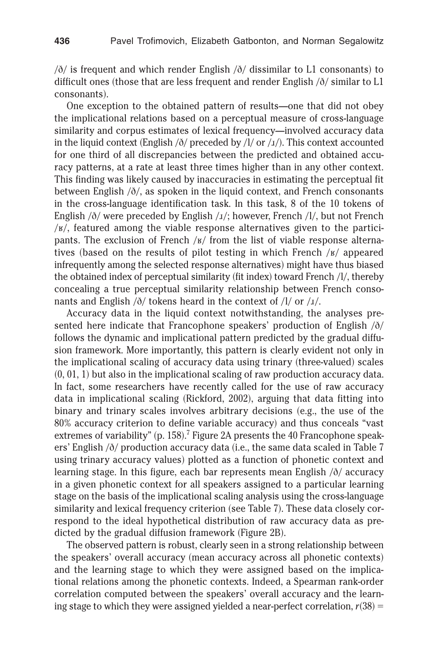$\delta$  is frequent and which render English  $\delta$  dissimilar to L1 consonants) to difficult ones (those that are less frequent and render English  $\partial$ ) similar to L1 consonants).

One exception to the obtained pattern of results—one that did not obey the implicational relations based on a perceptual measure of cross-language similarity and corpus estimates of lexical frequency—involved accuracy data in the liquid context (English  $\frac{\delta}{\delta}$  preceded by  $\frac{1}{\alpha}$  or  $\frac{1}{\alpha}$ ). This context accounted for one third of all discrepancies between the predicted and obtained accuracy patterns, at a rate at least three times higher than in any other context. This finding was likely caused by inaccuracies in estimating the perceptual fit between English  $\partial/\partial\phi$ , as spoken in the liquid context, and French consonants in the cross-language identification task. In this task,  $8$  of the 10 tokens of English  $\delta$  were preceded by English  $\delta$ . however, French  $\delta$ . but not French  $\mu/\mu$ , featured among the viable response alternatives given to the participants. The exclusion of French  $/\varkappa$  from the list of viable response alternatives (based on the results of pilot testing in which French  $/\nu$  appeared infrequently among the selected response alternatives) might have thus biased the obtained index of perceptual similarity (fit index) toward French  $\frac{1}{1}$ , thereby concealing a true perceptual similarity relationship between French consonants and English  $\delta$  tokens heard in the context of  $\delta$  or  $\delta$  /1/.

Accuracy data in the liquid context notwithstanding, the analyses presented here indicate that Francophone speakers' production of English  $\partial$ follows the dynamic and implicational pattern predicted by the gradual diffusion framework. More importantly, this pattern is clearly evident not only in the implicational scaling of accuracy data using trinary (three-valued) scales  $(0, 01, 1)$  but also in the implicational scaling of raw production accuracy data. In fact, some researchers have recently called for the use of raw accuracy data in implicational scaling  $(Rickford, 2002)$ , arguing that data fitting into binary and trinary scales involves arbitrary decisions  $(e,g<sub>+</sub>,$  the use of the 80% accuracy criterion to define variable accuracy) and thus conceals "vast extremes of variability" (p. 158).<sup>7</sup> Figure 2A presents the 40 Francophone speakers' English  $\delta$  production accuracy data (i.e., the same data scaled in Table 7 using trinary accuracy values) plotted as a function of phonetic context and learning stage. In this figure, each bar represents mean English  $\delta$  accuracy in a given phonetic context for all speakers assigned to a particular learning stage on the basis of the implicational scaling analysis using the cross-language similarity and lexical frequency criterion (see Table 7). These data closely correspond to the ideal hypothetical distribution of raw accuracy data as predicted by the gradual diffusion framework (Figure 2B).

The observed pattern is robust, clearly seen in a strong relationship between the speakers' overall accuracy (mean accuracy across all phonetic contexts) and the learning stage to which they were assigned based on the implicational relations among the phonetic contexts. Indeed, a Spearman rank-order correlation computed between the speakers' overall accuracy and the learning stage to which they were assigned yielded a near-perfect correlation,  $r(38)$  =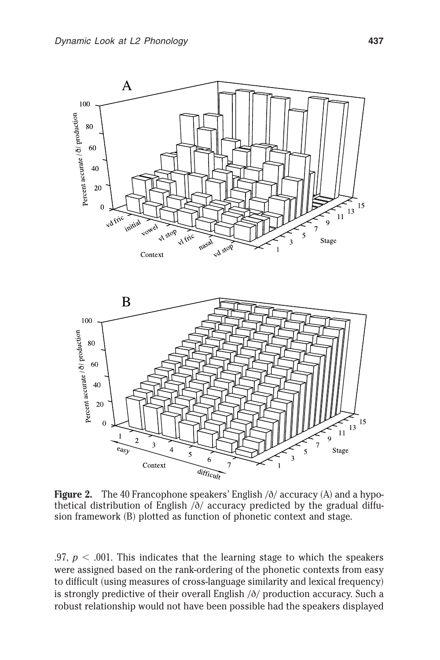

**Figure 2.** The 40 Francophone speakers' English / $\delta$ / accuracy (A) and a hypothetical distribution of English  $\overline{\partial}$  accuracy predicted by the gradual diffu $sion framework$   $(B)$  plotted as function of phonetic context and stage.

 $\text{.97, } p \leq \text{.001.}$  This indicates that the learning stage to which the speakers were assigned based on the rank-ordering of the phonetic contexts from easy to difficult (using measures of cross-language similarity and lexical frequency) is strongly predictive of their overall English  $\partial/\partial \phi$  production accuracy. Such a robust relationship would not have been possible had the speakers displayed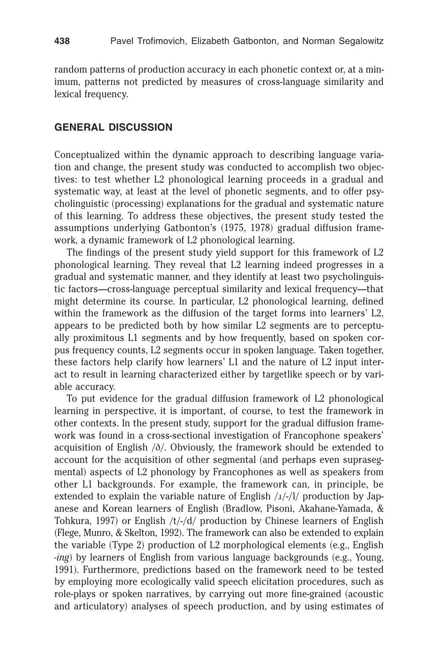random patterns of production accuracy in each phonetic context or, at a minimum, patterns not predicted by measures of cross-language similarity and lexical frequency.

## **GENERAL DISCUSSION**

Conceptualized within the dynamic approach to describing language variation and change, the present study was conducted to accomplish two objectives: to test whether L2 phonological learning proceeds in a gradual and systematic way, at least at the level of phonetic segments, and to offer psycholinguistic (processing) explanations for the gradual and systematic nature of this learning+ To address these objectives, the present study tested the assumptions underlying Gatbonton's (1975, 1978) gradual diffusion framework, a dynamic framework of L2 phonological learning.

The findings of the present study yield support for this framework of L2 phonological learning. They reveal that L2 learning indeed progresses in a gradual and systematic manner, and they identify at least two psycholinguistic factors—cross-language perceptual similarity and lexical frequency—that might determine its course. In particular, L2 phonological learning, defined within the framework as the diffusion of the target forms into learners' L2, appears to be predicted both by how similar L2 segments are to perceptually proximitous L1 segments and by how frequently, based on spoken corpus frequency counts, L2 segments occur in spoken language. Taken together, these factors help clarify how learners' L1 and the nature of L2 input interact to result in learning characterized either by targetlike speech or by variable accuracy.

To put evidence for the gradual diffusion framework of L2 phonological learning in perspective, it is important, of course, to test the framework in other contexts. In the present study, support for the gradual diffusion framework was found in a cross-sectional investigation of Francophone speakers' acquisition of English  $\delta$ . Obviously, the framework should be extended to account for the acquisition of other segmental (and perhaps even suprasegmental) aspects of L2 phonology by Francophones as well as speakers from other L1 backgrounds. For example, the framework can, in principle, be extended to explain the variable nature of English  $\frac{1}{4}$ - $\frac{1}{4}$  production by Japanese and Korean learners of English (Bradlow, Pisoni, Akahane-Yamada, & Tohkura, 1997) or English  $/t$ -/d/ production by Chinese learners of English (Flege, Munro, & Skelton, 1992). The framework can also be extended to explain the variable  $(Type 2)$  production of L2 morphological elements (e.g., English *-ing*) by learners of English from various language backgrounds (e.g., Young, 1991). Furthermore, predictions based on the framework need to be tested by employing more ecologically valid speech elicitation procedures, such as role-plays or spoken narratives, by carrying out more fine-grained (acoustic and articulatory) analyses of speech production, and by using estimates of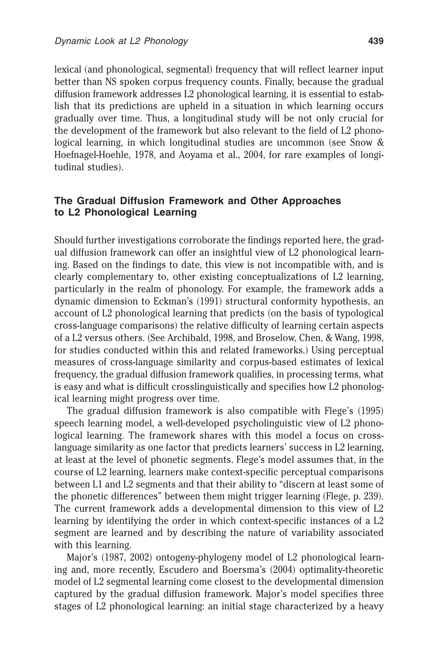lexical (and phonological, segmental) frequency that will reflect learner input better than NS spoken corpus frequency counts. Finally, because the gradual diffusion framework addresses L2 phonological learning, it is essential to establish that its predictions are upheld in a situation in which learning occurs gradually over time. Thus, a longitudinal study will be not only crucial for the development of the framework but also relevant to the field of L2 phonological learning, in which longitudinal studies are uncommon (see Snow  $\&$ Hoefnagel-Hoehle, 1978, and Aoyama et al., 2004, for rare examples of longitudinal studies).

#### **The Gradual Diffusion Framework and Other Approaches to L2 Phonological Learning**

Should further investigations corroborate the findings reported here, the gradual diffusion framework can offer an insightful view of L2 phonological learning. Based on the findings to date, this view is not incompatible with, and is clearly complementary to, other existing conceptualizations of L2 learning, particularly in the realm of phonology. For example, the framework adds a dynamic dimension to Eckman's  $(1991)$  structural conformity hypothesis, an account of L2 phonological learning that predicts (on the basis of typological cross-language comparisons! the relative difficulty of learning certain aspects of a L2 versus others. (See Archibald, 1998, and Broselow, Chen, & Wang, 1998, for studies conducted within this and related frameworks.) Using perceptual measures of cross-language similarity and corpus-based estimates of lexical frequency, the gradual diffusion framework qualifies, in processing terms, what is easy and what is difficult crosslinguistically and specifies how L2 phonological learning might progress over time.

The gradual diffusion framework is also compatible with Flege's (1995) speech learning model, a well-developed psycholinguistic view of L2 phonological learning. The framework shares with this model a focus on crosslanguage similarity as one factor that predicts learners' success in L2 learning, at least at the level of phonetic segments. Flege's model assumes that, in the course of L2 learning, learners make context-specific perceptual comparisons between L1 and L2 segments and that their ability to "discern at least some of the phonetic differences" between them might trigger learning (Flege, p. 239). The current framework adds a developmental dimension to this view of L2 learning by identifying the order in which context-specific instances of a L2 segment are learned and by describing the nature of variability associated with this learning.

Major's (1987, 2002) ontogeny-phylogeny model of L2 phonological learning and, more recently, Escudero and Boersma's  $(2004)$  optimality-theoretic model of L2 segmental learning come closest to the developmental dimension captured by the gradual diffusion framework. Major's model specifies three stages of L2 phonological learning: an initial stage characterized by a heavy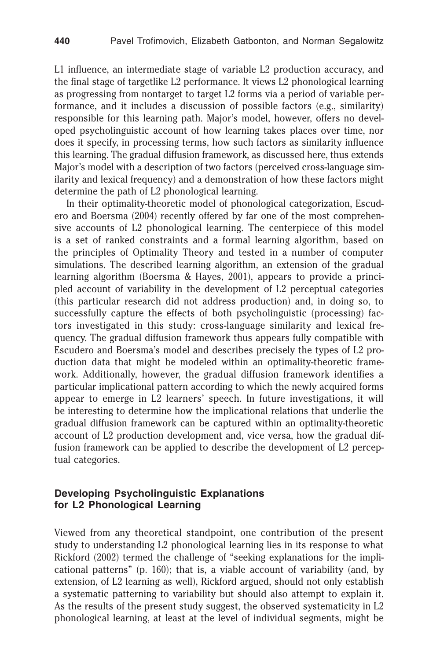L1 influence, an intermediate stage of variable L2 production accuracy, and the final stage of targetlike L2 performance. It views L2 phonological learning as progressing from nontarget to target L2 forms via a period of variable performance, and it includes a discussion of possible factors (e.g., similarity) responsible for this learning path. Major's model, however, offers no developed psycholinguistic account of how learning takes places over time, nor does it specify, in processing terms, how such factors as similarity influence this learning. The gradual diffusion framework, as discussed here, thus extends Major's model with a description of two factors (perceived cross-language similarity and lexical frequency) and a demonstration of how these factors might determine the path of L2 phonological learning.

In their optimality-theoretic model of phonological categorization, Escudero and Boersma (2004) recently offered by far one of the most comprehensive accounts of L2 phonological learning. The centerpiece of this model is a set of ranked constraints and a formal learning algorithm, based on the principles of Optimality Theory and tested in a number of computer simulations. The described learning algorithm, an extension of the gradual learning algorithm  $(Boersma & Hayes, 2001)$ , appears to provide a principled account of variability in the development of L2 perceptual categories (this particular research did not address production) and, in doing so, to successfully capture the effects of both psycholinguistic (processing) factors investigated in this study: cross-language similarity and lexical frequency+ The gradual diffusion framework thus appears fully compatible with Escudero and Boersma's model and describes precisely the types of L2 production data that might be modeled within an optimality-theoretic framework. Additionally, however, the gradual diffusion framework identifies a particular implicational pattern according to which the newly acquired forms appear to emerge in  $L2$  learners' speech. In future investigations, it will be interesting to determine how the implicational relations that underlie the gradual diffusion framework can be captured within an optimality-theoretic account of L2 production development and, vice versa, how the gradual diffusion framework can be applied to describe the development of L2 perceptual categories.

#### **Developing Psycholinguistic Explanations for L2 Phonological Learning**

Viewed from any theoretical standpoint, one contribution of the present study to understanding L2 phonological learning lies in its response to what Rickford (2002) termed the challenge of "seeking explanations for the implicational patterns" (p. 160); that is, a viable account of variability (and, by extension, of L2 learning as well), Rickford argued, should not only establish a systematic patterning to variability but should also attempt to explain it. As the results of the present study suggest, the observed systematicity in L2 phonological learning, at least at the level of individual segments, might be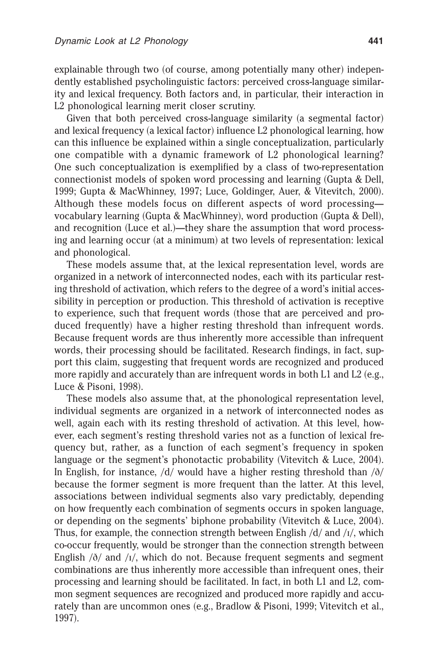explainable through two (of course, among potentially many other) independently established psycholinguistic factors: perceived cross-language similarity and lexical frequency+ Both factors and, in particular, their interaction in L2 phonological learning merit closer scrutiny.

Given that both perceived cross-language similarity (a segmental factor) and lexical frequency (a lexical factor) influence  $L2$  phonological learning, how can this influence be explained within a single conceptualization, particularly one compatible with a dynamic framework of L2 phonological learning? One such conceptualization is exemplified by a class of two-representation connectionist models of spoken word processing and learning (Gupta & Dell, 1999; Gupta & MacWhinney, 1997; Luce, Goldinger, Auer, & Vitevitch, 2000). Although these models focus on different aspects of word processing vocabulary learning (Gupta & MacWhinney), word production (Gupta & Dell), and recognition (Luce et al.)—they share the assumption that word processing and learning occur (at a minimum) at two levels of representation: lexical and phonological.

These models assume that, at the lexical representation level, words are organized in a network of interconnected nodes, each with its particular resting threshold of activation, which refers to the degree of a word's initial accessibility in perception or production. This threshold of activation is receptive to experience, such that frequent words (those that are perceived and produced frequently) have a higher resting threshold than infrequent words. Because frequent words are thus inherently more accessible than infrequent words, their processing should be facilitated. Research findings, in fact, support this claim, suggesting that frequent words are recognized and produced more rapidly and accurately than are infrequent words in both L1 and L2  $(e.g.,$ Luce & Pisoni, 1998).

These models also assume that, at the phonological representation level, individual segments are organized in a network of interconnected nodes as well, again each with its resting threshold of activation. At this level, however, each segment's resting threshold varies not as a function of lexical frequency but, rather, as a function of each segment's frequency in spoken language or the segment's phonotactic probability (Vitevitch  $&$  Luce, 2004). In English, for instance,  $\frac{d}{d}$  would have a higher resting threshold than  $\frac{\delta}{d}$ because the former segment is more frequent than the latter. At this level, associations between individual segments also vary predictably, depending on how frequently each combination of segments occurs in spoken language, or depending on the segments' biphone probability (Vitevitch & Luce, 2004). Thus, for example, the connection strength between English  $\frac{d}{dx}$  and  $\frac{1}{x}$ , which co-occur frequently, would be stronger than the connection strength between English  $\delta$  and  $\delta$  /i/, which do not. Because frequent segments and segment combinations are thus inherently more accessible than infrequent ones, their processing and learning should be facilitated. In fact, in both L1 and L2, common segment sequences are recognized and produced more rapidly and accurately than are uncommon ones  $(e.g., Bradlow & Pisoni, 1999; Vitevitch et al.,$ 1997).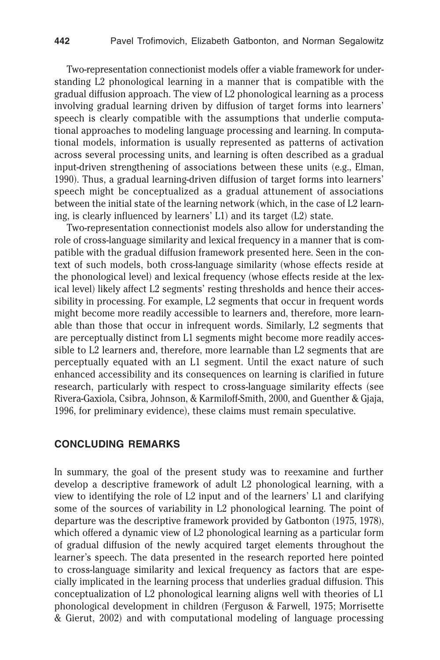Two-representation connectionist models offer a viable framework for understanding L2 phonological learning in a manner that is compatible with the gradual diffusion approach. The view of L2 phonological learning as a process involving gradual learning driven by diffusion of target forms into learners' speech is clearly compatible with the assumptions that underlie computational approaches to modeling language processing and learning. In computational models, information is usually represented as patterns of activation across several processing units, and learning is often described as a gradual input-driven strengthening of associations between these units  $(e.g., E$ Iman, 1990). Thus, a gradual learning-driven diffusion of target forms into learners' speech might be conceptualized as a gradual attunement of associations between the initial state of the learning network (which, in the case of L2 learning, is clearly influenced by learners'  $L1$  and its target  $(L2)$  state.

Two-representation connectionist models also allow for understanding the role of cross-language similarity and lexical frequency in a manner that is compatible with the gradual diffusion framework presented here. Seen in the context of such models, both cross-language similarity (whose effects reside at the phonological level) and lexical frequency (whose effects reside at the lexical level) likely affect L2 segments' resting thresholds and hence their accessibility in processing. For example, L2 segments that occur in frequent words might become more readily accessible to learners and, therefore, more learnable than those that occur in infrequent words. Similarly, L2 segments that are perceptually distinct from L1 segments might become more readily accessible to L2 learners and, therefore, more learnable than L2 segments that are perceptually equated with an L1 segment. Until the exact nature of such enhanced accessibility and its consequences on learning is clarified in future research, particularly with respect to cross-language similarity effects (see Rivera-Gaxiola, Csibra, Johnson, & Karmiloff-Smith, 2000, and Guenther & Gjaja, 1996, for preliminary evidence), these claims must remain speculative.

#### **CONCLUDING REMARKS**

In summary, the goal of the present study was to reexamine and further develop a descriptive framework of adult L2 phonological learning, with a view to identifying the role of L2 input and of the learners' L1 and clarifying some of the sources of variability in L2 phonological learning. The point of departure was the descriptive framework provided by Gatbonton (1975, 1978), which offered a dynamic view of L2 phonological learning as a particular form of gradual diffusion of the newly acquired target elements throughout the learner's speech. The data presented in the research reported here pointed to cross-language similarity and lexical frequency as factors that are especially implicated in the learning process that underlies gradual diffusion+ This conceptualization of L2 phonological learning aligns well with theories of L1 phonological development in children (Ferguson & Farwell, 1975; Morrisette & Gierut, 2002) and with computational modeling of language processing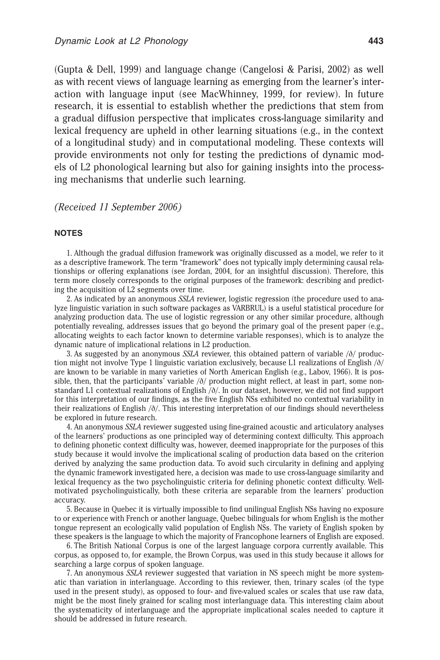$(Gupta & Dell, 1999)$  and language change  $(Cangelosi & Parisi, 2002)$  as well as with recent views of language learning as emerging from the learner's interaction with language input (see MacWhinney, 1999, for review). In future research, it is essential to establish whether the predictions that stem from a gradual diffusion perspective that implicates cross-language similarity and lexical frequency are upheld in other learning situations  $(e.g., in the context)$ of a longitudinal study) and in computational modeling. These contexts will provide environments not only for testing the predictions of dynamic models of L2 phonological learning but also for gaining insights into the processing mechanisms that underlie such learning.

#### *(Received 11 September 2006)*

#### **NOTES**

1. Although the gradual diffusion framework was originally discussed as a model, we refer to it as a descriptive framework. The term "framework" does not typically imply determining causal relationships or offering explanations (see Jordan, 2004, for an insightful discussion). Therefore, this term more closely corresponds to the original purposes of the framework: describing and predicting the acquisition of  $L2$  segments over time.

2. As indicated by an anonymous *SSLA* reviewer, logistic regression (the procedure used to analyze linguistic variation in such software packages as VARBRUL) is a useful statistical procedure for analyzing production data. The use of logistic regression or any other similar procedure, although potentially revealing, addresses issues that go beyond the primary goal of the present paper  $(e.g.,)$ allocating weights to each factor known to determine variable responses), which is to analyze the dynamic nature of implicational relations in L2 production+

3. As suggested by an anonymous *SSLA* reviewer, this obtained pattern of variable  $\delta$  production might not involve Type 1 linguistic variation exclusively, because L1 realizations of English  $\delta$ are known to be variable in many varieties of North American English (e.g., Labov, 1966). It is possible, then, that the participants' variable  $\delta/$  production might reflect, at least in part, some nonstandard L1 contextual realizations of English  $\delta$ . In our dataset, however, we did not find support for this interpretation of our findings, as the five English NSs exhibited no contextual variability in their realizations of English / $\delta$ /. This interesting interpretation of our findings should nevertheless be explored in future research.

4+ An anonymous *SSLA* reviewer suggested using fine-grained acoustic and articulatory analyses of the learners' productions as one principled way of determining context difficulty. This approach to defining phonetic context difficulty was, however, deemed inappropriate for the purposes of this study because it would involve the implicational scaling of production data based on the criterion derived by analyzing the same production data. To avoid such circularity in defining and applying the dynamic framework investigated here, a decision was made to use cross-language similarity and lexical frequency as the two psycholinguistic criteria for defining phonetic context difficulty. Wellmotivated psycholinguistically, both these criteria are separable from the learners' production accuracy.

5. Because in Quebec it is virtually impossible to find unilingual English NSs having no exposure to or experience with French or another language, Quebec bilinguals for whom English is the mother tongue represent an ecologically valid population of English NSs. The variety of English spoken by these speakers is the language to which the majority of Francophone learners of English are exposed+

6. The British National Corpus is one of the largest language corpora currently available. This corpus, as opposed to, for example, the Brown Corpus, was used in this study because it allows for searching a large corpus of spoken language.

7. An anonymous *SSLA* reviewer suggested that variation in NS speech might be more systematic than variation in interlanguage. According to this reviewer, then, trinary scales (of the type used in the present study), as opposed to four- and five-valued scales or scales that use raw data, might be the most finely grained for scaling most interlanguage data. This interesting claim about the systematicity of interlanguage and the appropriate implicational scales needed to capture it should be addressed in future research.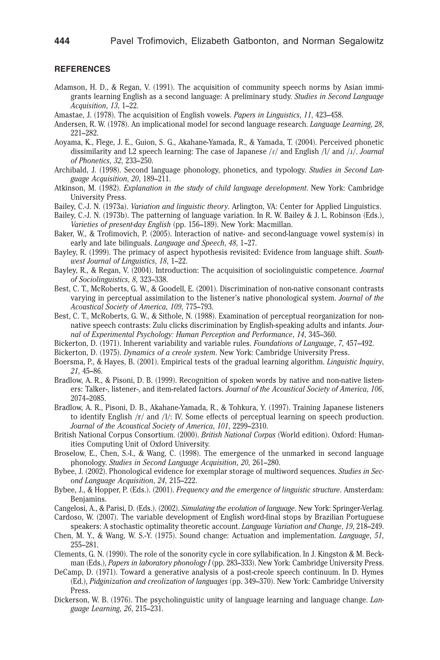#### **REFERENCES**

- Adamson, H. D., & Regan, V. (1991). The acquisition of community speech norms by Asian immigrants learning English as a second language: A preliminary study+ *Studies in Second Language Acquisition*, *13*, 1–22+
- Amastae, J. (1978). The acquisition of English vowels. *Papers in Linguistics*, 11, 423–458.
- Andersen, R. W. (1978). An implicational model for second language research. *Language Learning*, 28, 221–282+
- Aoyama, K., Flege, J. E., Guion, S. G., Akahane-Yamada, R., & Yamada, T. (2004). Perceived phonetic dissimilarity and L2 speech learning: The case of Japanese  $\frac{\Gamma}{\Gamma}$  and English  $\frac{1}{\Lambda}$  and  $\frac{1}{\Lambda}$ , *Journal of Phonetics*, *32*, 233–250+
- Archibald, J. (1998). Second language phonology, phonetics, and typology. *Studies in Second Language Acquisition*, *20*, 189–211+
- Atkinson, M. (1982). *Explanation in the study of child language development*. New York: Cambridge University Press.
- Bailey, C.-J. N. (1973a). *Variation and linguistic theory*. Arlington, VA: Center for Applied Linguistics.
- Bailey, C.-J. N. (1973b). The patterning of language variation. In R. W. Bailey & J. L. Robinson (Eds.), *Varieties of present-day English* (pp. 156–189). New York: Macmillan.
- Baker, W., & Trofimovich, P. (2005). Interaction of native- and second-language vowel system(s) in early and late bilinguals. *Language and Speech*,  $48$ , 1–27.
- Bayley, R. (1999). The primacy of aspect hypothesis revisited: Evidence from language shift. *Southwest Journal of Linguistics*, 18, 1–22.
- Bayley, R., & Regan, V. (2004). Introduction: The acquisition of sociolinguistic competence. *Journal of Sociolinguistics*, *8*, 323–338+
- Best, C. T., McRoberts, G. W., & Goodell, E. (2001). Discrimination of non-native consonant contrasts varying in perceptual assimilation to the listener's native phonological system+ *Journal of the Acoustical Society of America*, *109*, 775–793+
- Best, C. T., McRoberts, G. W., & Sithole, N. (1988). Examination of perceptual reorganization for nonnative speech contrasts: Zulu clicks discrimination by English-speaking adults and infants+ *Journal of Experimental Psychology: Human Perception and Performance*, *14*, 345–360+
- Bickerton, D. (1971). Inherent variability and variable rules. *Foundations of Language*, 7, 457–492.
- Bickerton, D. (1975). *Dynamics of a creole system*. New York: Cambridge University Press.
- Boersma, P., & Hayes, B. (2001). Empirical tests of the gradual learning algorithm. *Linguistic Inquiry*, *21*, 45–86+
- Bradlow, A, R., & Pisoni, D. B. (1999). Recognition of spoken words by native and non-native listeners: Talker-, listener-, and item-related factors+ *Journal of the Acoustical Society of America*, *106*, 2074–2085+
- Bradlow, A. R., Pisoni, D. B., Akahane-Yamada, R., & Tohkura, Y. (1997). Training Japanese listeners to identify English  $/r/$  and  $/$ . IV. Some effects of perceptual learning on speech production. *Journal of the Acoustical Society of America, 101, 2299-2310.*
- British National Corpus Consortium. (2000). *British National Corpus* (World edition). Oxford: Humanities Computing Unit of Oxford University+
- Broselow, E., Chen, S.-I., & Wang, C. (1998). The emergence of the unmarked in second language phonology+ *Studies in Second Language Acquisition*, *20*, 261–280+
- Bybee, J. (2002). Phonological evidence for exemplar storage of multiword sequences. *Studies in Second Language Acquisition*, *24*, 215–222+
- Bybee, J., & Hopper, P. (Eds.). (2001). *Frequency and the emergence of linguistic structure*. Amsterdam: Benjamins+
- Cangelosi, A., & Parisi, D. (Eds.). (2002). *Simulating the evolution of language*. New York: Springer-Verlag.
- Cardoso, W. (2007). The variable development of English word-final stops by Brazilian Portuguese speakers: A stochastic optimality theoretic account. *Language Variation and Change*, *19*, 218–249.
- Chen, M. Y., & Wang, W. S.-Y. (1975). Sound change: Actuation and implementation. *Language*, 51, 255–281+
- Clements, G. N.  $(1990)$ . The role of the sonority cycle in core syllabification. In J. Kingston & M. Beckman (Eds.), Papers in laboratory phonology I (pp. 283-333). New York: Cambridge University Press.
- DeCamp, D. (1971). Toward a generative analysis of a post-creole speech continuum. In D. Hymes (Ed.), Pidginization and creolization of languages (pp. 349–370). New York: Cambridge University Press.
- Dickerson, W. B. (1976). The psycholinguistic unity of language learning and language change. *Language Learning*, *26*, 215–231+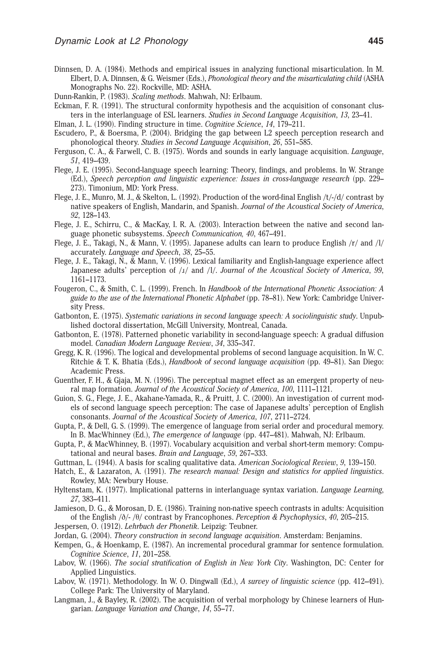- Dinnsen, D. A. (1984). Methods and empirical issues in analyzing functional misarticulation. In M. Elbert, D. A. Dinnsen, & G. Weismer (Eds.), *Phonological theory and the misarticulating child* (ASHA Monographs No. 22). Rockville, MD: ASHA.
- Dunn-Rankin, P. (1983). *Scaling methods*. Mahwah, NJ: Erlbaum.
- Eckman, F. R.  $(1991)$ . The structural conformity hypothesis and the acquisition of consonant clusters in the interlanguage of ESL learners. *Studies in Second Language Acquisition*, 13, 23–41.
- Elman, J. L. (1990). Finding structure in time. *Cognitive Science*, *14*, 179–211.
- Escudero, P., & Boersma, P. (2004). Bridging the gap between L2 speech perception research and phonological theory+ *Studies in Second Language Acquisition*, *26*, 551–585+
- Ferguson, C. A., & Farwell, C. B. (1975). Words and sounds in early language acquisition. *Language*, *51*, 419–439+
- Flege, J. E. (1995). Second-language speech learning: Theory, findings, and problems. In W. Strange  $(Ed<sub>1</sub>)$ , *Speech perception and linguistic experience: Issues in cross-language research* (pp. 229– 273). Timonium, MD: York Press.
- Flege, J. E., Munro, M. J., & Skelton, L. (1992). Production of the word-final English  $/t$ -/d/ contrast by native speakers of English, Mandarin, and Spanish. *Journal of the Acoustical Society of America*, 92, 128-143.
- Flege, J. E., Schirru, C., & MacKay, I. R. A.  $(2003)$ . Interaction between the native and second language phonetic subsystems. *Speech Communication*, 40, 467–491.
- Flege, J. E., Takagi, N., & Mann, V. (1995). Japanese adults can learn to produce English /r/ and /l/ accurately+ *Language and Speech*, *38*, 25–55+
- Flege, J. E., Takagi, N., & Mann, V. (1996). Lexical familiarity and English-language experience affect Japanese adults' perception of /1/ and /l/. Journal of the Acoustical Society of America, 99, 1161–1173+
- Fougeron, C., & Smith, C. L. (1999). French. In *Handbook of the International Phonetic Association: A guide to the use of the International Phonetic Alphabet* (pp. 78–81). New York: Cambridge University Press.
- Gatbonton, E. (1975). *Systematic variations in second language speech: A sociolinguistic study*. Unpublished doctoral dissertation, McGill University, Montreal, Canada+
- Gatbonton, E. (1978). Patterned phonetic variability in second-language speech: A gradual diffusion model+ *Canadian Modern Language Review*, *34*, 335–347+
- Gregg, K, R, (1996). The logical and developmental problems of second language acquisition. In W, C. Ritchie & T. K. Bhatia (Eds.), *Handbook of second language acquisition* (pp. 49–81). San Diego: Academic Press.
- Guenther, F. H., & Gjaja, M. N. (1996). The perceptual magnet effect as an emergent property of neural map formation. *Journal of the Acoustical Society of America*, 100, 1111–1121.
- Guion, S. G., Flege, J. E., Akahane-Yamada, R., & Pruitt, J. C. (2000). An investigation of current models of second language speech perception: The case of Japanese adults' perception of English consonants. Journal of the Acoustical Society of America, 107, 2711–2724.
- Gupta, P., & Dell, G. S. (1999). The emergence of language from serial order and procedural memory. In B. MacWhinney (Ed.), *The emergence of language* (pp. 447–481). Mahwah, NJ: Erlbaum.
- Gupta, P., & MacWhinney, B. (1997). Vocabulary acquisition and verbal short-term memory: Computational and neural bases. *Brain and Language*, 59, 267–333.
- Guttman, L. (1944). A basis for scaling qualitative data. *American Sociological Review*, 9, 139–150.
- Hatch, E., & Lazaraton, A. (1991). *The research manual: Design and statistics for applied linguistics*. Rowley, MA: Newbury House+
- Hyltenstam, K. (1977). Implicational patterns in interlanguage syntax variation. *Language Learning*, 27, 383-411.
- Jamieson, D. G., & Morosan, D. E. (1986). Training non-native speech contrasts in adults: Acquisition of the English  $/0$ -  $/0$  contrast by Francophones. *Perception & Psychophysics*, 40, 205–215.
- Jespersen, O. (1912). *Lehrbuch der Phonetik*. Leipzig: Teubner.
- Jordan, G. (2004). *Theory construction in second language acquisition*. Amsterdam: Benjamins.
- Kempen, G., & Hoenkamp, E. (1987). An incremental procedural grammar for sentence formulation. *Cognitive Science*, *11*, 201–258+
- Labov, W. (1966). *The social stratification of English in New York City*. Washington, DC: Center for Applied Linguistics.
- Labov, W. (1971). Methodology. In W. O. Dingwall (Ed.), *A survey of linguistic science* (pp. 412–491). College Park: The University of Maryland+
- Langman, J., & Bayley, R. (2002). The acquisition of verbal morphology by Chinese learners of Hungarian. *Language Variation and Change*, 14, 55–77.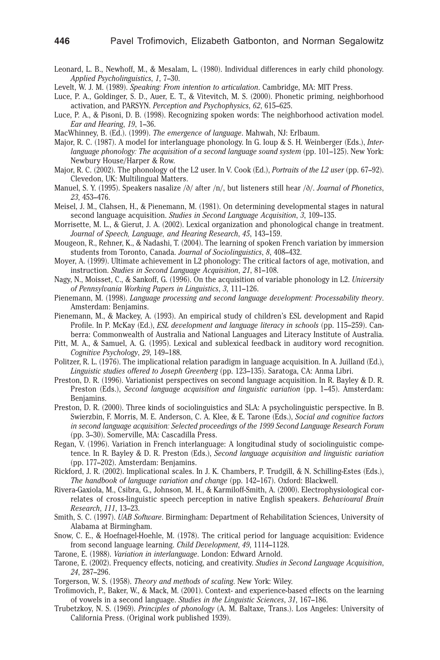- Leonard, L. B., Newhoff, M., & Mesalam, L. (1980). Individual differences in early child phonology. *Applied Psycholinguistics*, *1*, 7–30+
- Levelt, W. J. M. (1989). *Speaking: From intention to articulation*. Cambridge, MA: MIT Press.
- Luce, P. A., Goldinger, S. D., Auer, E. T., & Vitevitch, M. S. (2000). Phonetic priming, neighborhood activation, and PARSYN. *Perception and Psychophysics*, 62, 615–625.
- Luce, P. A., & Pisoni, D. B. (1998). Recognizing spoken words: The neighborhood activation model. *Ear and Hearing*, 19, 1-36.
- MacWhinney, B. (Ed.). (1999). *The emergence of language*. Mahwah, NJ: Erlbaum.
- Major, R. C. (1987). A model for interlanguage phonology. In G. Ioup & S. H. Weinberger (Eds.), *Interlanguage phonology: The acquisition of a second language sound system* (pp. 101–125). New York: Newbury House/Harper & Row.
- Major, R, C,  $(2002)$ . The phonology of the L2 user. In V, Cook  $(Ed<sub>1</sub>)$ , *Portraits of the L2 user* (pp.  $67-92$ ). Clevedon, UK: Multilingual Matters+
- Manuel, S. Y. (1995). Speakers nasalize /ð/ after /n/, but listeners still hear /ð/. Journal of Phonetics, *23*, 453–476+
- Meisel, J. M., Clahsen, H., & Pienemann, M. (1981). On determining developmental stages in natural second language acquisition. *Studies in Second Language Acquisition*, 3, 109–135.
- Morrisette, M. L., & Gierut, J. A. (2002). Lexical organization and phonological change in treatment. *Journal of Speech, Language, and Hearing Research*, *45*, 143–159+
- Mougeon, R., Rehner, K., & Nadashi, T. (2004). The learning of spoken French variation by immersion students from Toronto, Canada. *Journal of Sociolinguistics*, *8*, 408–432.
- Moyer, A. (1999). Ultimate achievement in L2 phonology: The critical factors of age, motivation, and instruction, *Studies in Second Language Acquisition*, 21, 81–108.
- Nagy, N<sub>y</sub>, Moisset, C<sub>ty</sub> & Sankoff, G<sub>t</sub> (1996). On the acquisition of variable phonology in L2, *University of Pennsylvania Working Papers in Linguistics*, *3*, 111–126+
- Pienemann, M. (1998). *Language processing and second language development: Processability theory*. Amsterdam: Benjamins+
- Pienemann, M., & Mackey, A. (1993). An empirical study of children's ESL development and Rapid Profile<sub>t</sub> In P, McKay (Ed.), *ESL development and language literacy in schools* (pp. 115–259). Canberra: Commonwealth of Australia and National Languages and Literacy Institute of Australia.
- Pitt, M, A., & Samuel, A, G. (1995). Lexical and sublexical feedback in auditory word recognition. *Cognitive Psychology*, *29*, 149–188+
- Politzer, R. L.  $(1976)$ . The implicational relation paradigm in language acquisition. In A. Juilland  $(Ed.)$ , *Linguistic studies offered to Joseph Greenberg* (pp. 123–135). Saratoga, CA: Anma Libri.
- Preston, D. R. (1996). Variationist perspectives on second language acquisition. In R. Bayley & D. R. Preston (Eds.), *Second language acquisition and linguistic variation* (pp. 1–45). Amsterdam: Benjamins.
- Preston, D, R, (2000). Three kinds of sociolinguistics and SLA: A psycholinguistic perspective. In B. Swierzbin, F. Morris, M. E. Anderson, C. A. Klee, & E. Tarone (Eds.), *Social and cognitive factors in second language acquisition: Selected proceedings of the 1999 Second Language Research Forum* (pp. 3–30). Somerville, MA: Cascadilla Press.
- Regan, V. (1996). Variation in French interlanguage: A longitudinal study of sociolinguistic competence. In R. Bayley & D. R. Preston (Eds.), *Second language acquisition and linguistic variation*  $(pp. 177-202)$ . Amsterdam: Benjamins.
- Rickford, J. R. (2002). Implicational scales. In J. K. Chambers, P. Trudgill, & N. Schilling-Estes (Eds.), *The handbook of language variation and change* (pp. 142–167). Oxford: Blackwell.
- Rivera-Gaxiola, M., Csibra, G., Johnson, M. H., & Karmiloff-Smith, A. (2000). Electrophysiological correlates of cross-linguistic speech perception in native English speakers. *Behavioural Brain Research*, *111*, 13–23+
- Smith, S. C. (1997). *UAB Software*. Birmingham: Department of Rehabilitation Sciences, University of Alabama at Birmingham+
- Snow, C. E., & Hoefnagel-Hoehle, M. (1978). The critical period for language acquisition: Evidence from second language learning. *Child Development*, 49, 1114–1128.
- Tarone, E. (1988). *Variation in interlanguage*. London: Edward Arnold.
- Tarone, E. (2002). Frequency effects, noticing, and creativity. *Studies in Second Language Acquisition*, 24, 287-296.
- Torgerson, W. S. (1958). *Theory and methods of scaling*. New York: Wiley.
- Trofimovich, P., Baker, W., & Mack, M. (2001). Context- and experience-based effects on the learning of vowels in a second language. *Studies in the Linguistic Sciences*, 31, 167–186.
- Trubetzkoy, N. S. (1969). *Principles of phonology* (A. M. Baltaxe, Trans.). Los Angeles: University of California Press. (Original work published 1939).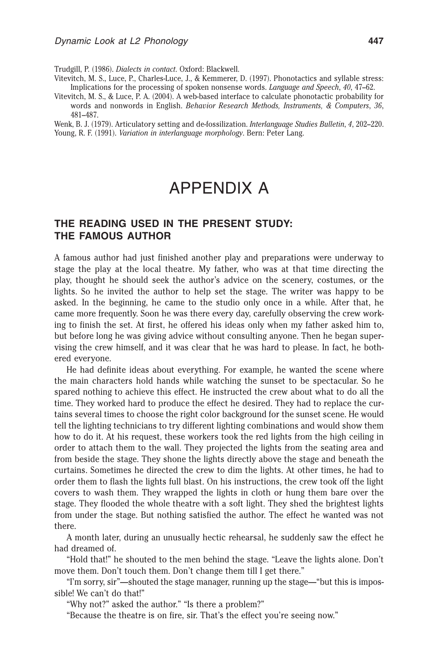Trudgill, P. (1986). *Dialects in contact*. Oxford: Blackwell.

- Vitevitch, M. S., Luce, P., Charles-Luce, J., & Kemmerer, D. (1997). Phonotactics and syllable stress: Implications for the processing of spoken nonsense words. *Language and Speech*, *40*, 47–62.
- Vitevitch, M. S., & Luce, P. A.  $(2004)$ . A web-based interface to calculate phonotactic probability for words and nonwords in English+ *Behavior Research Methods, Instruments, & Computers*, *36*, 481–487+

Wenk, B. J. (1979). Articulatory setting and de-fossilization. *Interlanguage Studies Bulletin*, 4, 202–220. Young, R. F. (1991). *Variation in interlanguage morphology*. Bern: Peter Lang.

## APPENDIX A

## **THE READING USED IN THE PRESENT STUDY: THE FAMOUS AUTHOR**

A famous author had just finished another play and preparations were underway to stage the play at the local theatre. My father, who was at that time directing the play, thought he should seek the author's advice on the scenery, costumes, or the lights. So he invited the author to help set the stage. The writer was happy to be asked. In the beginning, he came to the studio only once in a while. After that, he came more frequently. Soon he was there every day, carefully observing the crew working to finish the set. At first, he offered his ideas only when my father asked him to, but before long he was giving advice without consulting anyone. Then he began supervising the crew himself, and it was clear that he was hard to please. In fact, he bothered everyone.

He had definite ideas about everything. For example, he wanted the scene where the main characters hold hands while watching the sunset to be spectacular. So he spared nothing to achieve this effect. He instructed the crew about what to do all the time. They worked hard to produce the effect he desired. They had to replace the curtains several times to choose the right color background for the sunset scene. He would tell the lighting technicians to try different lighting combinations and would show them how to do it. At his request, these workers took the red lights from the high ceiling in order to attach them to the wall. They projected the lights from the seating area and from beside the stage. They shone the lights directly above the stage and beneath the curtains. Sometimes he directed the crew to dim the lights. At other times, he had to order them to flash the lights full blast+ On his instructions, the crew took off the light covers to wash them. They wrapped the lights in cloth or hung them bare over the stage. They flooded the whole theatre with a soft light. They shed the brightest lights from under the stage. But nothing satisfied the author. The effect he wanted was not there.

A month later, during an unusually hectic rehearsal, he suddenly saw the effect he had dreamed of.

"Hold that!" he shouted to the men behind the stage. "Leave the lights alone. Don't move them. Don't touch them. Don't change them till I get there."

"I'm sorry, sir"—shouted the stage manager, running up the stage—"but this is impossible! We can't do that!"

"Why not?" asked the author." "Is there a problem?"

"Because the theatre is on fire, sir. That's the effect you're seeing now."